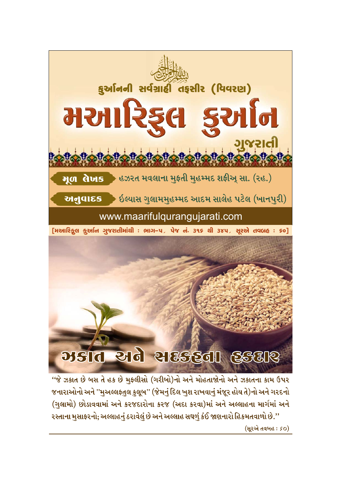

# **Meld eld elsegal Escle**

''જે ઝકાત છે બસ તે હક છે મુફલીસો (ગરીબો)નો અને મોહતાજોનો અને ઝકાતના કામ ઉપર જનારાઓનો અને ''મુઅલ્લફતુલ કુલૂબ'' (જેમનું દિલ ખુશ રાખવાનું મંજૂર હોય તે)નો અને ગરદનો (ગુલામો) છોડાવવામાં અને કરજદારોના કરજ (અદા કરવા)માં અને અલ્લાહના માર્ગમાં અને રસ્તાના મુસાફરનો; અલ્લાહનું ઠરાવેલું છે અને અલ્લાહ સઘળું કંઈ જાણનારો હિકમતવાળો છે.''

(સૂરએ તવબહ: so)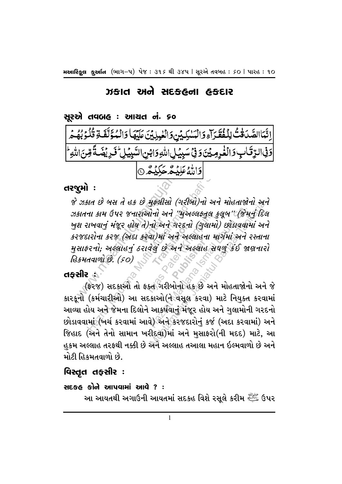# ઝકાત અને સદકહના હકદાર

## સુરએ તવબહ : આચત નં. ૬૦

اِتَّمَاالصَّدَقْتُ لِلْفُقَرَآءِ وَالْسَٰلِيِّيْ وَالْغِيِلِيِّيَ عَلَيْهَا وَالْمُؤَلَّفَةِ قُلُوَبُهُمَّ

# તરજૂમો :

 $\frac{1}{\sqrt{2}}$  $\frac{1}{2}$  $\frac{1}{2}$  $\frac{1}{2}$  $\frac{1}{2}$  $\frac{1}{2}$  $\frac{1}{2}$  $\frac{1}{2}$  $\frac{1}{2}$  $\frac{1}{2}$  $\frac{1}{2}$  $\frac{1}{2}$  $\frac{1}{2}$  $\frac{1}{2}$  $\frac{1}{2}$  $\frac{1}{2}$  $\frac{1}{2}$  $\frac{1}{2}$  $\frac{1}{2}$  $\frac{1}{2}$  $\frac{1}{2}$  $\frac{1}{2}$  $\frac{1}{2}$  $\frac{1}{2}$ ખુશ રાખવાનું મંજૂર હોય તે)નો અને ગરદનો (ગુલામો) છોડાવવામાં અને<br>કરજદારોના કરજ (અદા કરવા)માં અને અલ્લાહના માર્ગમાં અને રસ્તાના ા અને ગરદન<br>૫)માં અને અ<br>લું છે અને અ<br> મસાકરનો, અલ્લાહનું ઠરાવેલું છે અને અલ્લાહ સઘળું કંઈ જાણનારો<br>હિકમતવાળો છે. (50)<br>**ફસીર** : اَ وَالْغُرِمِيْنَ وَفِيَّ سَبِيْبِلِى اللَّهِ وَابْنِ السَّبِيْبِلِ مِّيْ وَفِيَّ سَبِيْبِلِ اللَّهِ وَابْنِ ا<br>An a d a d as a sure diffusion of the search of the search of the mann of the search of the mann of the mann Iના કામ ઉપર જનારાઓનાં અને ''મુઅલ્લફ્તુલ કુલૂબ'' (જેમનું દિલ<br>રાખવાનું મંજૂર હોય તે)નો અને ગરદનો (ગુલામો) છોડાવવામાં અને<br>દારોના કરજ (અદા કરવા)માં અને અલ્લાહના માર્ગમાં અને રસ્તાના<br>કરનો; અલ્લાહનું ઠરાવેલું છે અને અલ્લાહ સઘળુ યેનો અને ''મુઅલ્લફ્તુલ કુલૂબ'' (જેમ<br>'નો અને ગરદનો (ગુલામો) છોડાવવા<br>વેલું છે અને અલ્લાહ સઘળું કંઈ જા<br>ક્ત ગરીબોનો હક છે અને મોહતાજોન્<br>ક્ત ગરીબોનો હક છે અને મોહતાજોન્<br>અાકર્ષવાનું મંજૂર હોય અને ગુલામોન્<br>આકર્ષવાનું મંજૂર હોય અ મુકલાસા (ગરાબા)નો અને માહતાજાના અન<br>પોનો અને ''મુઅલ્લફ્તુલ કુલૂબ'' (જેમનું દિલ<br>નો અને ગરહનો (ગુલામો) છોડાવવામાં અન<br>તે ગરીબોનો હક છે અને મોહતાજાનો અને<br>કાઓ(ને વસૂલ કરવા) માટે નિયુક્ત કરવા<br>આકર્ષવાનું મંજૂર હોય અને ગુલામોની ગર જે ઝકાત છે બસ તે હક છે મફલીસો (ગરીબો)નો અને મોહતાજોનો અને ઝકાતના કામ ઉપર જનારાઓનો અને ''મુઅલ્લફ્તૂલ કુલૂબ''(જિમનું દિલ કરજદારોના કરજ (અદા કરવા)માં અને અલ્લાહના માર્ગમાં અને રસ્તાના હિકમતવાળો છે. (૬૦)

## તકસીર હ

કારકૂનો (કર્મચારીઓ) આ સદકાઓ(ને વસૂલ કરવા) માટે નિયુક્ત કરવામાં આવ્યા હોય અને જેમના દિલોને આકર્ષવાનું મંજૂર હોય અને ગુલામોની ગરદનો છોડાવવામાં (ખર્ચ કરવામાં આવે) અને કરજદારોનું કર્જ (અદા કરવામાં) અને જિહાદ (અને તેનો સામાન ખરીદવા)માં અને મસાફરો(ની મદદ) માટે, આ હકમ અલ્લાહ તરફથી નક્કી છે અને અલ્લાહ તઆલા મહાન ઇલ્મવાળો છે અને મોટી હિકમતવાળો છે.

# વિસ્તૃત તફસીર :

## સદકહ કોને આપવામાં આવે ? $:$

આ આયતથી અગાઉની આયતમાં સદકહ વિશે રસૂલે કરીમ સ્ટેંગ્રે ઉપર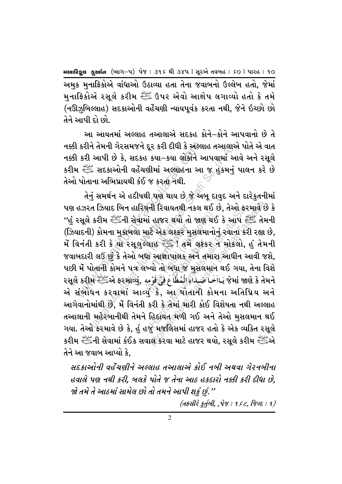અમક મનાફિકોએ વાંધાઓ ઉઠાવ્યા હતા તેના જવાબનો ઉલ્લેખ હતો. જેમાં મનાફિકોએ રસૂલે કરીમ ﷺ ઉપર એવો આક્ષેપ લગાવ્યો હતો કે તમે (નઊઝબિલ્લાહ) સદકાઓની વહેંચણી ન્યાયપૂર્વક કરતા નથી, જેને ઇચ્છો છો તેને આપી દો છો.

આ આયતમાં અલ્લાહ તઆલાએ સદકહ કોને–કોને આપવાનો છે તે નક્કી કરીને તેમની ગેરસમજને દૂર કરી દીધી કે અલ્લાહ તઆલાએ પોતે એ વાત નક્કી કરી આપી છે કે, સદકહ કયા–કયા લોકોને આપવામાં આવે અને રસૂલે કરીમ  $\stackrel{\text{\tiny{def}}}{\sim}$  સદકાઓની વહેંચણીમાં અલ્લાહના આ જ હુકમનું પાલન કરે છે તેઓ પોતાના અભિપ્રાયથી કંઈ જ કરતા નથી.

. કરીને તેમની ગેરસમજને દૂર કરી દીધી કે અલ્લા<br>. કરી આપી છે કે, સદકહ કયા–કયા લોકોને અ<br>. સ્ટ્રાંટ સદકાઓની વહેંચણીમાં અલ્લાહના આ<br>પોતાના અભિપ્રાયથી કંઈ જ કરતા નથી.<br>હઝરત ઝિયાદ બિન હારિષની રિવાયતથી નકલ થ<br>હઝરત ઝિયાદ બિન હારિષની ામાં હાજ<br>. માટે એક<br>મહ્યાહ<sup>્</sup>ર્ . એ*ક* લશ્કર મુ<br>ાહ ત્<sup>યુક</sup>િ ! તમે<br>આજ્ઞાપાલક મેં વિનંતી કરી કે યા રસૂલુલ્લાહ સ્ટેંગ ! તમે લશ્કર ન મોકલો, હું તેમની<br>જવાબદારી લઉં છું કે તેઓ બધા આજ્ઞાપાલક અને તમારા આઘીન આવી જશે,<br>પછી મેં પોતાની કોમને પત્ર લખ્યો તો બધા જ મુસલમાન થઈ ગયા, તેના વિશે<br>-ને તેમની ગેરસમજને દૂર કરી દીઘી કે અલ્લાહ તઆલારું<br>ી આપી છે કે, સદકહ કયા–કયા લોકોને આપવામાં અ<br>ગ્રેં સદકાઓની વહેંચશીમાં અલ્લાહના આ જ હુકમનું<br>તાના અભિપ્રાયથી કંઈ જ કરતા નથી.<br>રત ઝિયાદ બિન હારિષની રિવાયતથી નકલ થઈ છે, તેઅ<br>સ કર  $\begin{array}{l} \mathbf{0.7333} \ \mathbf{1.8433} \ \mathbf{1.8433} \ \mathbf{1.8433} \ \mathbf{1.8433} \ \mathbf{1.8433} \ \mathbf{1.8433} \ \mathbf{1.8433} \ \mathbf{1.8433} \ \mathbf{1.8433} \ \mathbf{1.8433} \ \mathbf{1.8433} \ \mathbf{1.8433} \ \mathbf{1.8433} \ \mathbf{1.8433} \ \mathbf{1.8433} \ \mathbf{1.8433} \ \mathbf{1.84$ ના ારવાવતથા નકલ થઇ છ, તઆ ફર<br>i હાજર થયો તો જાણ થઈ કે આપ ફૂર<br>તે એક લશ્કર મુસલમાનોનું રવાના કર<br>માહ સ્ટાર્પાલક અને તમારા આઘીન અ<br>પો તો બધા જ મુસલમાન થઈ ગયા,<br>પો તો બધા જ મુસલમાન થઈ ગયા,<br>કરી કે તેમાં મારી કોઈ વિશેષતા નર્થ<br>કરી કે ની રિવાયતથી નકલ થઈ છે, તેઓ ફરમાવે છે<br>. હાજર થયો તો જાણ થઈ કે આપ સ્ટ્રેંક તેમ<br>ટે એક લશ્કર મુસલમાનોનું રવાના કરી રહ્યા<br>મહાર સ્ટ્રેંક ! તમે લશ્કર ન મોકલો, હું તેમ<br>મોનાપાલક અને તમારા આઘીન આવી જ<br>યો તો બધા જ મુસલમાન થઈ ગયા, તે તેનું સમર્થન એ હદીષથી પણ થાય છે જે અબૂ દાવુદ અને દારેકુતનીમાં પણ હઝરત ઝિયાદ બિન હારિષની રિવાયતથી નકલ થઈ છે, તેઓ ફરમાવે છે કે <u>''હું</u> રસૂલે કરીમ સ્ટેં∄ની સેવામાં હાજર થયો તો જાણ થઈ કે આપ સ્ટેં≸ તેમની (ઝિયાદની) કોમના મુકાબલા માટે એક લશ્કર મુસલમાનોનું રવાના કરી રહ્યા છે, જવાબદારી લઉં છે કે તેઓ બધા આજ્ઞાપાલક અને તમારા આધીન આવી જશે. પછી મેં પોતાની કોમને પત્ર લખ્યો તો બધા જ મસલમાન થઈ ગયા, તેના વિશે રસૂલે કરીમ રહીંએ ફરમાવ્યું, مَعَ فَيْ قَوۡمِهِ) રસૂલે કરીમ જેમાં જાણે કે તેમને ø એ સંબોધન કરવામાં આવ્ય કે, આ પોતાની કોમના અતિપ્રિય અને આગેવાનોમાંથી છે. મેં વિનંતી કરી કે તેમાં મારી કોઈ વિશેષતા નથી અલ્લાહ તઆલાની મહેરબાનીથી તેમને હિદ્દાયત મળી ગઈ અને તેઓ મસલમાન થઈ ગયા. તેઓ ફરમાવે છે કે, હું હજુ મજલિસમાં હાજર હતો કે એક વ્યક્તિ રસૂલે કરીમ સ્ટીંટની સેવામાં કંઈક સવાલ કરવા માટે હાજર થયો, રસૂલે કરીમ સ્ટીંટએ તેને આ જવાબ આપ્યો કે.

સદકાઓની વહેંચણીને અલ્લાહ તઆલાએ કોઈ નબી અથવા ગેરનબીના હવાલે પણ નથી કરી, બલકે પોતે જ તેના આઠ હકદારો નક્કી કરી દીધા છે, જો તમે તે આઠમાં સામેલ છો તો તમને આપી શકું છું."

 $(d \xi \hat{dl} \xi \underline{\xi} d \hat{dl}, \hat{q} \hat{q} \xi : 1 \xi \xi, \hat{q} \xi \xi : 1)$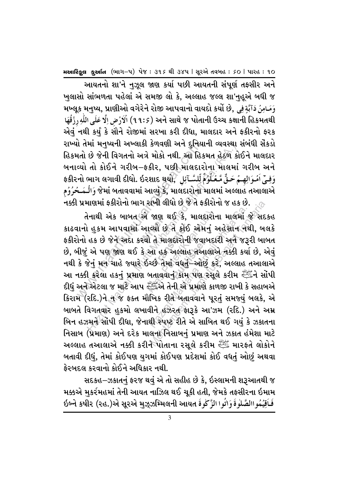આયતનો શા'ને નુઝૂલ જાણ કર્યા પછી આયતની સંપૂર્ણ તફસીર અને ખલાસો સાંભળતા પહેલાં એ સમજી લો કે. અલ્લાહ જલ્લ શા'નહુએ બધી જ મખ્લૂક મનુષ્ય, પ્રાણીઓ વગેરેને રોજી આપવાનો વાયદો કર્યો છે, وَمَامِنُ دَآبَةٍ فِي ી الْأَرۡضِ إِلَّا عَلَى اللَّهِ رِزۡقُهَا (٩٩: ٩) الْأَرۡضِ إِلَّا عَلَى اللَّهِ رِزُقُهَا એવું નથી કર્યું કે સૌને રોજીમાં સરખા કરી દીધા, માલદાર અને ફકીરનો ફરક રાખ્યો તેમાં મનપ્યની અખ્લાકી કેળવણી અને દુનિયાની વ્યવસ્થા સંબંધી સેંકડો હિકમતો છે જેની વિગતનો અત્રે મોકો નથી. આ હિકમત હેઠળ કોઈને માલદાર બનાવ્યો તો કોઈને ગરીબ–ફકીર, પછી માલદારોના માલમાં ગરીબ અને وَفِيِّ اَمُوَالِهِمْ حَقٌّ مَّعُلُوُمُ لِّلسَّآئِل , ફકીરનો ભાગ લગાવી દીધો. ઇરશાદ થયો જેમાં બતાવવામાં આવ્યું કે, માલદારોના માલમાં અલ્લાહ તઆલાએ وَالۡـمَــحُرُوُم નક્કી પ્રમાણમાં ફકીરોનો ભાગ રાખી લીધો છે જે તે ફકીરોનો જ હક છે.

તેનાથી એક બાબત એ જાણ થઈ કે, માલદારોના માલમાં જે સદકહ કાઢવાનો હકમ આપવામાં આવ્યો છે તે કોઈ એમન અહેસાન નથી, બલકે ફકીરોનો હક છે જેને અદા કરવો તે માલદારોની જવાબદારી અને જરૂરી બાબત છે, બીજું એ પણ જાણ થઈ કે આ હક અલ્લાહ તઆલાએ તક્કી કર્યા છે, એવું નથી કે જેનું મન ચાહે જ્યારે ઇચ્છે તેમાં વધતું–ઓછું કરે, અલ્લાહ તઆલાએ આ નક્કી કરેલા હકનું પ્રમાણ બતાવવાનું કામ પણ રસૂલે કરીમ સ્ટેંગ સોંપી દીધું અને એટલા જ માટે આપ સ્ટ્રેંચે તેની એ પ્રમાણે કાળજી રાખી કે સહાબએ કિરામ (રદિ.)ને ન જ ફક્ત મૌખિક રીતે બતાવવાને પૂરતું સમજ્યું બલકે, એ બાબતે વિગતવાર હુકમો લખાવીને હઝરત કારૂકે આ'ઝમ (રદિ.) અને અમ્ર બિન હઝમને સોંપી દીધા, જેનાથી સ્પષ્ટ રીતે એ સાબિત થઈ ગયં કે ઝકાતના નિસાબ (પ્રમાણ) અને દરેક માલના નિસાબનં પ્રમાણ અને ઝકાત હંમેશા માટે અલ્લાહ તઆલાએ નક્કી કરીને પોતાના રસૂલે કરીમ નોંગ મારફતે લોકોને બતાવી દીધું, તેમાં કોઈપણ યુગમાં કોઈપણ પ્રદેશમાં કોઈ વધતું ઓછું અથવા કેરબદલ કરવાનો કોઈને અધિકાર નથી.

સદકહ $-$ ઝકાતનું ફરજ થવું એ તો સહીહ છે કે, ઇસ્લામની શરૂઆતથી જ મક્કએ મુકર્રમહમાં તેની આયત નાઝિલ થઈ ચૂકી હતી, જેમકે તફસીરના ઇમામ فَاَقِيُمُواالصَّلُوةَ وَاتُوا الزَّكْوةَ ઇબ્ને કષીર (રહ.)એ સૂરએ મુઝ્ઝમ્મિલની આયત

3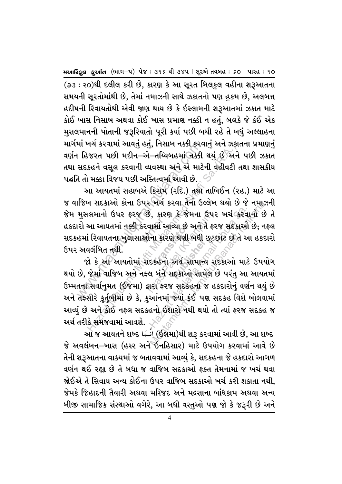(૭૩ : ૨૦)થી દલીલ કરી છે, કારણ કે આ સૂરત બિલકુલ વહીના શરૂઆતના સમયની સુરતોમાંથી છે. તેમાં નમાઝની સાથે ઝકાતનો પણ હકમ છે. અલબત્ત હદીષની રિવાયતોથી એવી જાણ થાય છે કે ઇસ્લામની શરૂઆતમાં ઝકાત માટે કોઈ ખાસ નિસાબ અથવા કોઈ ખાસ પ્રમાણ નક્કી ન હતં, બલકે જે કંઈ એક મુસલમાનની પોતાની જરૂરિયાતો પૂરી કર્યા પછી બચી રહે તે બધું અલ્લાહના માર્ગમાં ખર્ચ કરવામાં આવતં હતં, નિસાબ નક્કી કરવાનં અને ઝકાતના પ્રમાણનં વર્ણન હિજરત પછી મદીન–એ–તચ્યિબહમાં નક્કી થયં છે અને પછી ઝકાત તથા સદકહને વસુલ કરવાની વ્યવસ્થા અને એ માટેની વહીવટી તથા શાસકીય પદ્ધતિ તો મક્કા વિજય પછી અસ્તિત્વમાં આવી છે.

આ આયતમાં સહાબએ કિરામ (રદિ.) તથા તાબિઈન (રહ.) માટે આ જ વાજિબ સદકાઓ કોના ઉપર ખર્ચ કરવા તેનો ઉલ્લેખ થયો છે જે નમાઝની જેમ મુસલમાનો ઉપર ફરજ છે, કારણ કે જેમના ઉપર ખર્ચ કરવાનો છે તે હકદારો આ આયતમાં નક્કી કરવામાં આવ્યા છે અને તે ફરજ સદકાઓ છે; નફલ સદકહમાં રિવાયતના ખુલાસાઓના કારણે ઘણી બધી છૂટછાટ છે તે આ હકદારો ઉપર અવલંબિત નથી.

જો કે આ આયતોમાં સદકહનો અર્થ સામાન્ય સદકાઓ માટે ઉપયોગ થયો છે, જેમાં વાજિબ અને નફલ બંને સદકાઓ સામેલ છે પરંતુ આ આયતમાં ઉમ્મતના સર્વાનુમત (ઈજમા) દ્વારા ફરજ સદકહના જ હકદારોનું વર્ણન થયું છે અને તફસીરે કુર્તુબીમાં છે કે, કુર્આનમાં જ્યાં કંઈ પણ સદકહ વિશે બોલવામાં આવ્યું છે અને કોઈ નફલ સદકહનો ઇશારો નથી થયો તો ત્યાં ફરજ સદકહ જ અર્થ તરીકે સમજવામાં આવશે. ્રે

આ જ આયતને શબ્દ انَّـمَا) (ઈજ્ઞમા)થી શરૂ કરવામાં આવી છે, આ શબ્દ જે અવલંબન–ખાસ (હસ્ર અને ઇનહિસાર) માટે ઉપયોગ કરવામાં આવે છે તેની શરૂઆતના વાક્યમાં જ બતાવવામાં આવ્યં કે, સદકહના જે હકદારો આગળ વર્ણન થઈ રહ્યા છે તે બધા જ વાજિબ સદકાઓ ફક્ત તેમનામાં જ ખર્ચ થવા જોઈએ તે સિવાય અન્ય કોઈના ઉપર વાજિબ સદકાઓ ખર્ચ કરી શકાતા નથી. જેમકે જિહાદની તૈયારી અથવા મસ્જિદ અને મદ્રસાના બાંધકામ અથવા અન્ય બીજી સામાજિક સંસ્થાઓ વગેરે, આ બધી વસ્તઓ પણ જો કે જરૂરી છે અને

 $\overline{A}$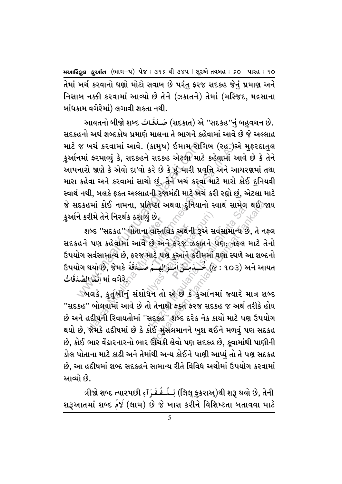તેમાં ખર્ચ કરવાનો ઘણો મોટો સવાબ છે પરંત ફરજ સદકહ જેનં પ્રમાણ અને નિસાબ નક્કી કરવામાં આવ્યો છે તેને (ઝકાતને) તેમાં (મસ્જિદ, મદ્રસાના બાંધકામ વગેરેમાં) લગાવી શકતા નથી.

જ ખર્ચ કરવામાં આવે. (કામુષ) ઇમામ રાગ્<br>નમાં ફરમાવ્યું કે, સદકહને સદકહ એટલા માટે<br>નારો જાણે કે એવો દા'વો કરે છે કે હું મારી પ્રવૃ<br>કહેવા અને કરવામાં સાચો છું, તેને ખર્ચ કરવા<br>દકહમાં કોઈ નામના, પ્રતિષ્ઠા અથવા દુનિયાન<br>રાદકહમાં ક ખર્ચ કરવામાં આવે. (કામુષ) ઇમામ રાગિબ (રહ.)<br>i ફરમાવ્યું કે, સદકહને સદકહ એટલા માટે કહેવામાં આવે કે એવો દા'વો કરે છે કે હું મારી પ્રવૃત્તિ અને અ<br>iવા અને કરવામાં સાચો છું, તેને ખર્ચ કરવા માટે મારો<br>ઘી, બલકે ફક્ત અલ્લાહની રજામં આયતનો બીજો શબ્દ أَصَـدَقَـاتُ (સદકાત) એ ''સદકહ''નું બહુવચન છે. ø સદકહનો અર્થ શબ્દકોષ પ્રમાણે માલના તે ભાગને કહેવામાં આવે છે જે અલ્લાહ માટે જ ખર્ચ કરવામાં આવે. (કામુષ) ઇમામ રાગિબ (રહ.)એ મુકરદાતુલ કુર્આનમાં ફરમાવ્યું કે, સદકહને સદકહ એટલા માટે કહેવામાં આવે છે કે તેને આપનારો જાણે કે એવો દા'વો કરે છે કે હં મારી પ્રવૃત્તિ અને આચરણમાં તથા મારા કહેવા અને કરવામાં સાચો છું, તેને ખર્ચ કરવા માટે મારો કોઈ દુનિયવી સ્વાર્થ નથી, બલકે ફક્ત અલ્લાહની રજામંદી માટે ખર્ચ કરી રહ્યો છં, એટલા માટે જે સદકહમાં કોઈ નામના, પ્રતિષ્ઠા અથવા દુનિયાનો સ્વાર્થ સામેલ થઈ**જા**ય કુર્આને કરીમે તેને નિરર્થક ઠરાવ્યું છે.

ાપ્યુ *છ*<br>ાના વાસ્તી<br><sup>હ</sup>ે છે અ શબ્દ ''સદકહ'' પોતાના વાસ્તવિક અર્થની રૂએ સર્વસામાન્ય છે, તે નકલ<br>ને પણ કહેવામાં આવે છે અને ફરજ ઝકાતને પણ;ત્તકલ માટે તેનો<br>ાસર્વસામાન્ય છે, ફરજ માટે પણ કુર્આને કરીમમાં ઘણા સ્થળે આ શબ્દનો<br>……હેલે જેમરે <sup>કૂ</sup>ર્કર્સ કર્યા સાર્જર્ કરજ ઝકાત<sub>'</sub><br>કુઆને કરીમઃ<br>خَـــٰذُمِــَنِّ اَمْـ યું છે.<br>! વાસ્તવિક અર્થની રૂએ સ<br>છે અને ફરજ ઝકાતને<br>માટે પણ કુઅનિ કરીમમાં<br>.<br>. છે.<br>મું છે.<br>દોસ્તવિક અર્થની રૂએ સર્વસામાન્ય છે.<br>માટે પણ કુઆને કરીમમાં ઘણા સ્થળે અને ફરજ ઝકાતને પણ, તફલ<br>માટે પણ કુઓને કર્યા હતારે માન તો એ છે કે કુઆનિમાં જ્યારે માન તો એ છે કે કુઆનિમાં જ્યારે માટે પણ<br>માન તો એ છે કે કુઆનિમ મેકા અથવા દુનિયાનો સ્વાર્થ સામેલ થઈ જ<br>છે.<br>છે અને ફરજ ઝકાતને પણ, તફલ માટે તે<br>મૂટે પણ કુઅનિ કરીમમાં ઘણા સ્થળે આ શબ્દ<br>મૂટે પણ કુઅનિ કરીમમાં ઘણા સ્થળે આ શબ્દ<br>માટે પણ કુઅનિ કરીમમાં ઘણા સ્થળે આ શબ્દ<br>માં તેનાથી ફક્ત ફરજ સદકહ જ અ સદકહને પણ કહેવામાં આવે છે અને ફરજ ઝકાતને પણ; તેફલ માટે તેનો ઉપયોગ સર્વસામાન્ય છે, ફરજ માટે પણ કુર્આને કરીમમાં ઘણા સ્થળે આ શબ્દનો ઉપયોગ થયો છે, જેમકે خَــِذُمِـنٌ اَمُــُوَالِهِــمُ صَـٰـدَقَةً  $\left( \alpha : \mathrm{\textbf{a}} \, \mathrm{\textbf{b}} \right)$  અને આયત **s** û .<br>بِ aj بَانَّهَا الصَّدَقَاتُ " ø

્બલકે, કુર્તુબીનું સંશોધન તો એ છે કે કુર્આનમાં જ્યારે માત્ર શબ્દ ''સદકહ'' બોલવામાં આવે છે તો તેનાથી ફક્ત ફરજ સદકહ જ અર્થ તરીકે હોય છે અને હદીષની રિવાયતોમાં ''સદકહ'' શબ્દ દરેક નેક કાર્યો માટે પણ ઉપયોગ થયો છે, જેમકે હદીષમાં છે કે કોઈ મસલમાનને ખુશ થઈને મળવું પણ સદકહ છે, કોઈ ભાર વેંઢારનારનો ભાર ઊંચકી લેવો પણ સદકહ છે, કૂવામાંથી પાણીની ડોલ પોતાના માટે કાઢી અને તેમાંથી અન્ય કોઈને પાણી આપ્યું તો તે પણ સદકહ છે. આ હદીષમાં શબ્દ સદકહને સામાન્ય રીતે વિવિધ અર્થોમાં ઉપયોગ કરવામાં આવ્યો છે.

ત્રીજો શબ્દ ત્યારપછી اِلْـلَـفُـقَـرَآءِ (લિલ્ ફુકરાઅ્)થી શરૂ થયો છે, તેની û ö ø શરૂઆતમાં શબ્દ وર્જ (લામ) છે જે ખાસ કરીને વિશિષ્ટતા બતાવવા માટે û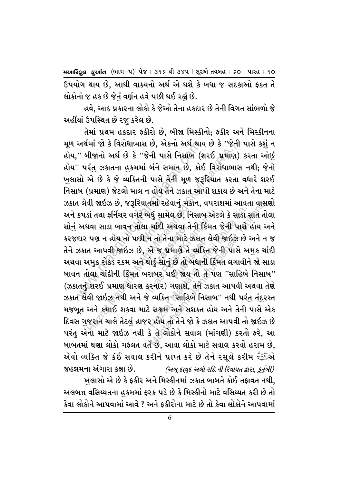ઉપયોગ થાય છે, આથી વાક્યનો અર્થ એ થશે કે બધા જ સદકાઓ ફક્ત તે લોકોનો જ હક છે જેનં વર્ણન હવે પછી થઈ રહ્યં છે.

હવે. આઠ પ્રકારના લોકો કે જેઓ તેના હકદાર છે તેની વિગત સાંભળો જે અહીંયાં ઉપસ્થિત છે ૨જ કરેલ છે.

અથમા જા ક વિરાધાભાસ છ, અકના અથ થાય<br>'' બીજાનો અર્થ છે કે ''જેની પાસે નિસાબ (શ<br>' પરંતુ ઝકાતના હુકમમાં બંને સમાન છે, કોઈ<br>સો એ છે કે જે વ્યક્તિની પાસે તેની મૂળ જરૂ<br>બ (પ્રમાણ) જેટલો માલ ન હોય તેને ઝકાત આપ<br>ન લેવી જાઇઝ છે, જરૂરિ .<br>.લા ચાંદી<br>શ્રી ન તો ત ર્યાદી અથવા ત<br>તો તેના માટે<br>ા જ પ્રમાણે તે<br>ડું સોનું છે તો r નાટ ઝકાત<br>માણે તે વ્યક્તિ<br>છે તો બધાની<br>ઈ જાય તો તે મા જા ક ાવરાઘાત્માસ છ, અકના અથ ચાંય છ ક <sup>અ</sup>કન<br>મીજાનો અર્થ છે કે ''જેની પાસે નિસાબ (શરઈ પ્રમાણ<br>રંતુ ઝકાતના હુકમમાં બંને સમાન છે, કોઈ વિરોધાભા<br>એ છે કે જે વ્યક્તિની પાસે તેની મૂળ જરૂરિયાત કરત<br>(પ્રમાણ) જેટલો માલ ન હોય તેને ઝક બધું સામેલ છે, નિસાબ એ<br>ા ચાંદી અથવા તેની કિંમત<br>ન તો તેના માટે ઝકાત લેગ<br>એ જ પ્રમાણે તે વ્યક્તિ<br>થોડું સોનું છે તો બધાની કિં<br>રાબર થઈ જાય તો તે પ<br>કરનાર) ગણાશે, તેને ઝકા ાઘું સામેલ છે, નિસાબ એટલે કે સાડા<br>ચાંદી અથવા તેની કિંમત જેની પાસે<br>એ જ પ્રમાણે તે વ્યક્તિ જેની પાસે અ<br>એ જ પ્રમાણે તે વ્યક્તિ જેની પાસે અ<br>રાબર થઈ જાય તો તે પણ ''સાહિબે<br>રચીકત ''સાહિબે નિસાબ'' નથી પરં<br>' વ્યક્તિ ''સાહિબે નિસાબ ામા રહેવાનુ મકાન, વપરાશમા આવતા વાસ<br>હ્યું સામેલ છે, નિસાબ એટલે કે સાડા સાત તો<br>ચાંદી અથવા તેની કિંમત જેની પાસે હોય અ<br>એ જ પ્રમાણે તે વ્યક્તિ જેની પાસે અમુક ચાં<br>ડ્રાંડું સોનું છે તો બઘાની કિંમત લગાવીને જો સ<br>રાબર થઈ જાય તો તે તેમાં પ્રથમ હકદાર ફકીરો છે, બીજા મિસ્કીનો; ફકીર અને મિસ્કીનના મુળ અર્થમાં જો કે વિરોધાભાસ છે, એકનો અર્થ થાય છે કે ''જેની પાસે કશં ન હોય,'' બીજાનો અર્થ છે કે ''જેની પાસે નિસાબ (શરઈ પ્રમાણ) કરતા ઓછું હોય" પરંતુ ઝકાતના હુકમમાં બંને સમાન છે, કોઈ વિરોધાભાસ નથી; જેનો ખુલાસો એ છે કે જે વ્યક્તિની પાસે તેની મૂળ જરૂરિયાત કરતા વધારે શરઈ નિસાબ (પ્રમાણ) જેટલો માલ ન હોય તેને ઝકાત આપી શકાય છે અને તેના માટે ઝકાત લેવી જાઇઝ છે, જરૂરિયાતમાં રહેવાનું મકાન, વપરાશમાં આવતા વાસણો અને કપડાં તથા ફર્નિચર વગેરે બધું સામેલ છે, નિસાબ એટલે કે સાડા સાત તોલા સોનું અથવા સાડા બાવન તોલા ચાંદી અથવા તેની કિંમત જેની પાસે હોય અને કરજદાર પણ ન હોય તો પછી ન તો તેના માટે ઝકાત લેવી જાઇઝ છે અને ન જ તેને ઝકાત આપવી જાઇઝ છે, એ જ પ્રમાણે તે વ્યક્તિ જેની પાસે અમુક ચાંદી અથવા અમુક રોકડ રકમ અને થોડું સોનું છે તો બધાની કિંમત લગાવીને જો સાડા બાવન તોલા ચાંદીની કિંમત બરાબર થઈ જાય તો તે પણ ''સાહિબે નિસાબ'' (ઝકાતનું શરઈ પ્રમાણ ધારણ કરનાર) ગણાશે, તેને ઝકાત આપવી અથવા તેણે ઝકાત લેવી જાઇઝ નથી અને જે વ્યક્તિ ''સાહિબે નિસાબ'' નથી પરંતુ તંદુરસ્ત મજબૂત અને કમાઈ શકવા માટે સક્ષમ અને સશક્ત હોય અને તેની પાસે એક દિવસ ગજરાન ચાલે તેટલ હાજર હીય તો તેને જો કે ઝકાત આપવી તો જાઇઝ છે પરંતુ એના માટે જાઇઝ નથી કે તે લોકોને સવાલ (માંગણી) કરતો ફરે, આ બાબતમાં ઘણા લોકો ગફલત વર્તે છે. આવા લોકો માટે સવાલ કરવો હરામ છે. એવો વ્યક્તિ જે કંઈ સવાલ કરીને પ્રાપ્ત કરે છે તેને રસૂલે કરીમ સ્ક્રીઁએ જહન્નમના અંગારા કહ્યા છે. *(અબુ દાવદ અલી રદિ.ની રિવાયત દ્વારા, કર્તબી)* 

ખલાસો એ છે કે ફકીર અને મિસ્કીનમાં ઝકાત બાબતે કોઈ તફાવત નથી. અલબત્ત વસિય્યતના હકમમાં ફરક પડે છે કે મિસ્કીનો માટે વસિય્યત કરી છે તો કેવા લોકોને આપવામાં આવે ? અને કકીરોના માટે છે તો કેવા લોકોને આપવામાં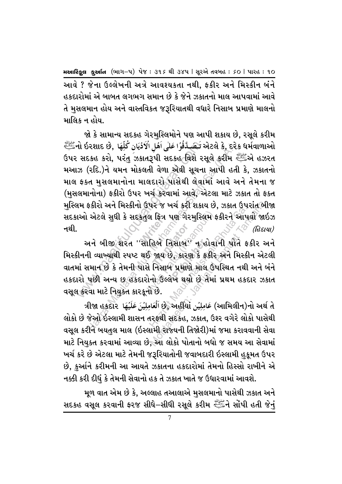આવે ? જેના ઉલ્લેખની અત્રે આવશ્યકતા નથી. ફકીર અને મિસ્કીન બંને હકદારોમાં એ બાબત લગભગ સમાન છે કે જેને ઝકાતનો માલ આપવામાં આવે તે મસલમાન હોય અને વાસ્તવિકત જરૂરિયાતથી વધારે નિસાબ પ્રમાણે માલનો માલિક ન હોય.

જો કે સામાન્ય સદકહ ગેરમસ્લિમોને પણ આપી શકાય છે, રસૂલે કરીમ અેટલે કે, દરેક ધર્મવાળાઓ تَـَصَـدَّقُوُا عَلَى اَهُلِ الْاَدُيَانِ كُلِّهَا ,એટલે કે, દરેક ધર્મવાળાઓ ઉપર સદકહ કરો, પરંતુ ઝકાતરૂપી સદકહ વિશે રસૂલે કરીમ રહીં છો હઝરત મઆઝ (રદિ.)ને યમન મોકલતી વેળા એવી સૂચના આપી હતી કે, ઝકાતનો માલ ફક્ત મસલમાનોના માલદારો પાસેથી લેવામાં આવે અને તેમના જ (મુસલમાનોના) ફકીરો ઉપર ખર્ચ કરવામાં આવે, એટલા માટે ઝકાત તો ફક્ત મુસ્લિમ ફકીરો અને મિસ્કીનો ઉપર જ ખર્ચ કરી શકાય છે, ઝકાત ઉપરાંત બીજા સદકાઓ એટલે સુધી કે સદકતુલ ફિત્ર પણ ગેરમુસ્લિમ ફકીરને આપવી જાઇઝ નથી.  $\Omega$ દાયા $)$ 

અને બીજી શરત ''સાહિબે નિસાબ'' ન હોવાની પોતે ફકીર અને મિસ્કીનની વ્યાખ્યાથી સ્પષ્ટ થઈ જાય છે, કારણ કે ફકીર અને મિસ્કીન એટલી વાતમાં સમાન છે કે તેમની પાસે નિસાબ પ્રમાણે માલ ઉપસ્થિત નથી અને બંને હકદારો પછી અન્ય છ હકદારોનો ઉલ્લેખ થયો છે તેમાં પ્રથમ હકદાર ઝકાત વસૂલ કરવા માટે નિયુક્ત કારકૂનો છે.

ત્રીજા હકદાર لَعَامِلِيُنَ છે, અહીંયાં فَامِلِيُنَ عَلَيْهَا ત્રીજા હકદાર فَالْمَامِلِيُنَ عَلَيْهَا લોકો છે જેઓ ઇસ્લામી શાસન તરફથી સદકહ, ઝકાત, ઉશ્ર વગેરે લોકો પાસેથી વસૂલ કરીને બયતુલ માલ (ઇસ્લામી રાજ્યની તિજોરી)માં જમા કરાવવાની સેવા માટે નિયુક્ત કરવામાં આવ્યા છે, આ લોકો પોતાનો બધો જ સમય આ સેવામાં ખર્ચ કરે છે એટલા માટે તેમની જરૂરિયાતોની જવાબદારી ઇસ્લામી હુકૂમત ઉપર છે, કુર્આને કરીમની આ આયતે ઝકાતના હકદારોમાં તેમનો હિસ્સો રાખીને એ નક્કી કરી દીધું કે તેમની સેવાનો હક તે ઝકાત ખાતે જ ઉધારવામાં આવશે.

મૂળ વાત એમ છે કે, અલ્લાહ તઆલાએ મુસલમાનો પાસેથી ઝકાત અને સદકહ વસૂલ કરવાની ફરજ સીઘે–સીઘી રસૂલે કરીમ ﷺને સોંપી હતી જેનં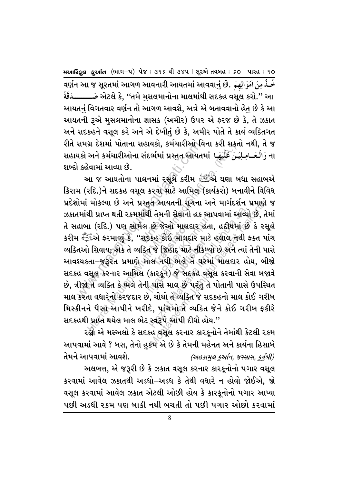عُسُدُ مِنُ اَمُوَالِهِمُ . વર્ણન આ જ સૂરતમાં આગળ આવનારી આયતમાં આવવાનું છે. الله વર્ણન આ ةُقَدَّ અેટલે કે. ''તમે મસલમાનોના માલમાંથી સદકહ વસલ કરો.'' આ આયતનં વિગતવાર વર્ણન તો આગળ આવશે, અત્રે એ બતાવવાનો હેત છે કે આ આયતની રૂએ મુસલમાનોના શાસક (અમીર) ઉપર એ ફરજ છે કે, તે ઝકાત અને સદકહને વસૂલ કરે અને એ દેખીતું છે કે, અમીર પોતે તે કાર્ય વ્યક્તિગત રીતે સમગ્ર દેશમાં પોતાના સહાયકો, કર્મચારીઓ વિના કરી શકતો નથી, તે જ સહાયકો અને કર્મચારીઓના સંદર્ભમાં પ્રસ્તુત આયતમાં لِأَيُّهَا સહાયકો અને કર્મચારીઓના શબ્દો કહેવામાં આવ્યા છે.

આ જ આયતોના પાલનમાં રસૂલે કરીમ સ્ટેટિંગે ઘણા બધા સહાબએ કિરામ (રદિ.)ને સદકહ વસૂલ કરવા માટે આમિલ (કાર્યકરો) બનાવીને વિવિધ પ્રદેશોમાં મોકલ્યા છે અને પ્રસ્તુત આયતની સૂચના અને માર્ગદર્શન પ્રમાણે જ ઝકાતમાંથી પ્રાપ્ત થતી રકમમાંથી તેમની સેવાનો હક આપવામાં આવ્યો છે, તેમાં તે સહાબા (રદિ.) પણ સામેલ છે જેઓ માલદાર હતા. હદીષમાં છે કે રસલે કરીમ સ્ટ્રેંਡએ ફરમાવ્યું કે, ''સદકહ કોઈ માલદાર માટે હલાલ નથી ફક્ત પાંચ વ્યક્તિઓ સિવાય; એક તે વ્યક્તિ જે જિહાદ માટે નીકળ્યો છે અને ત્યાં તેની પાસે આવશ્યકતા-જરૂરત પ્રમાણે માલ નથી ભલે તે ઘરમાં માલદાર હોય, બીજો સદકહ વસૂલ કરનાર આમિલ (કારકૂન) જે સદકહ વસૂલ કરવાની સેવા બજાવે છે, ત્રીજો તે વ્યક્તિ કે ભલે તેની પાસે માલ છે પરંત તે પોતાની પાસે ઉપસ્થિત માલ કરતા વધારેનો કરજદાર છે, ચોથો તે વ્યક્તિ જે સદકહનો માલ કોઈ ગરીબ મિસ્કીનને પૈસા આપીને ખરીદે, પાંચમોલે વ્યક્તિ જેને કોઈ ગરીબ ફકીરે સદકહથી પ્રાપ્ત થયેલ માલ ભેટ સ્વરૂપે આપી દીધો હોય.''

રહ્યો એ મસ્અલો કે સદકહ વસૂલ કરનાર કારકૂનોને તેમાંથી કેટલી રકમ આપવામાં આવે ? બસ, તેનો હુકમે એ છે કે તેમની મહેનત અને કાર્યના હિસાબે તેમને આપવામાં આવશે. (અહકામુલ કુર્આન, જસ્સાસ, કુર્તુબી)

અલબત્ત, એ જરૂરી છે કે ઝકાત વસૂલ કરનાર કારકૂનોનો પગાર વસૂલ કરવામાં આવેલ ઝકાતથી અડધો–અડધ કે તેથી વધારે ન હોવો જોઈએ, જો વસૂલ કરવામાં આવેલ ઝકાત એટલી ઓછી હોય કે કારકૂનોનો પગાર આપ્યા પછી અડધી રકમ પણ બાકી નથી બચતી તો પછી પગાર ઓછો કરવામાં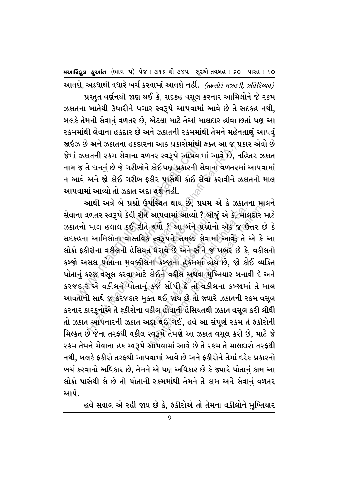આવશે, અડધાથી વધારે ખર્ચ કરવામાં આવશે નહીં. *(તક્સીરે મઝહરી, ઝહિરિય્યહ)* પ્રસ્તત વર્ણનથી જાણ થઈ કે, સદકહ વસૂલ કરનાર આમિલોને જે રકમ ઝકાતના ખાતેથી ઉધારીને પગાર સ્વરૂપે આપવામાં આવે છે તે સદકહ નથી. બલકે તેમની સેવાનં વળતર છે, એટલા માટે તેઓ માલદાર હોવા છતાં પણ આ ૨કમમાંથી લેવાના હકદાર છે અને ઝકાતની રકમમાંથી તેમને મહેનતાણં આપવં જાઇઝ છે અને ઝકાતના હકદારના આઠ પ્રકારોમાંથી ફક્ત આ જ પ્રકાર એવો છે જેમાં ઝકાતની રકમ સેવાના વળતર સ્વરૂપે આપવામાં આવે છે, નહિતર ઝકાત નામ જ તે દાનનં છે જે ગરીબોને કોઈપણ પ્રકારની સેવાના વળતરમાં આપવામાં ન આવે અને જો કોઈ ગરીબ ફકીર પાસેથી કોઈ સેવા કરાવીને ઝકાતનો માલ આપવામાં આવ્યો તો ઝકાત અદા થશે નહીં.

ઝ છ અન ઝકાતના હકદારના આઠ પ્રકારામાથી ક<br>ઝકાતની રકમ સેવાના વળતર સ્વરૂપે આપવામ<br>જ તે દાનનું છે જે ગરીબોને કોઈપણ પ્રકારની સે<br>વામાં આવ્યો તો ઝકાત અદા થશે નહીં.<br>વામાં આવ્યો તો ઝકાત અદા થશે નહીં.<br>ના વળતર સ્વરૂપે કેવી રીતે આપવામાં …<br>રીતે થયો<br>વિક સ્વરૂ થયો ? આ બં<br>સ્વરૂપને સમય<br>ધરાવે છે અને<br>ા કબ્જાના હુક િસમ<sup>ુ</sup>ં લેવ<br>છે અને સૌને<br>ાના હુકમમાં ે અને ઝકાતના હકદારના આઠ પ્રકારામાંથા ફક્ત આ જ<br>મતની રકમ સેવાના વળતર સ્વરૂપે આપવામાં આવે છે,<br>મેનની રકમ સેવાના વળતર સ્વરૂપે આપવામાં આવે છે,<br>અને જો કોઈ ગરીબ ફકીર પાસેથી કોઈ સેવા કરાવીને<br>મં આવ્યો તો ઝકાત અદા થશે નહીં.<br>માથી અત્ I આપવામાં આવ્યો ? બી<br>I થયો ? આ બંને પ્રશ્નોન<br>ક સ્વરૂપને સમજી લેવામ<br>ત ઘરાવે છે અને સૌને જ<br>Iના કબ્જાના હુકમમાં હો<br>કોઈને વકીલ અથવા મુ<br>કિર્જ સોંપી દે તો વકી આપવામાં આવ્યો ? બીજું એ કે,માહ<br>થયો ? આ બંને પ્રશ્નોનો એક જ ઉ<br>રવરૂપને સમજી લેવામાં આવે; તે<br>ના કબ્જાના હુકમમાં હોય છે, જો કો<br>કોઈને વકીલ અથવા મુખ્તિયાર બના<br>કર્જ સોંપી દે તો વકીલના કબ્જામ<br>ન થઈ જાય છે તો જ્યારે ઝકાતની ર<br>કીલ હો પીસ્થત થાય છે, પ્રથમ અ ક ઝકાતના માહ<br>આપવામાં આવ્યો ? બીજું એ કે, માલદાર મ<br>ચર્ચા ? આ બંને પ્રશ્નોનો એક જ ઉત્તર છે<br>સ્વરૂપને સમજી લેવામાં આવે; તે એ કે<br>ન કબ્જાના હુકમમાં હોય છે, જો કોઈ વ્યક્તિ<br>કોઈને વકીલ અથવા મુખ્તિયાર બનાવી દ આથી અત્રે બે પ્રશ્નો ઉપસ્થિત થાય છે. પ્રથમ એ કે ઝકાતના માલને સેવાના વળતર સ્વરૂપે કેવી રીતે આપવામાં આવ્યો ? બીજું એ કે, માલદાર માટે ઝકાતનો માલ હલાલ કઈ રીતે થયો ? આ બંને પ્રશ્નોનો એક જ ઉત્તર છે કે સદકહના આમિલોના વાસ્તવિક સ્વરૂપને સમજી લેવામાં આવે; તે એ કે આ લોકો ફકીરોના વકીલની હેસિયત ધરાવે છે અને સૌને જ ખબર છે કે, વકીલનો કબ્જો અસલ પોતાના મુવક્કીલના કબ્જાના હુકમમાં હોય છે, જો કોઈ વ્યક્તિ પોતાનું કરજ વસૂલ કરવા માટે કોઈને વકીલ અથવા મુખ્તિયાર બનાવી દે અને કરજદાર એ વકીલને પોતાનું કર્જ સોંપી દે તો વકીલના કબ્જામાં તે માલ આવતાની સાથે જ કરજદાર મક્ત થઈ જાય છે તો જ્યારે ઝકાતની રકમ વસૂલ કરનાર કારકૂનોએ તે ફકીરોના વકીલ હોવાની હેસિયતથી ઝકાત વસૂલ કરી લીધી તો ઝકાત આપનારની ઝકાત અદ્દા થઈ ગઈ, હવે આ સંપૂર્ણ રકમ તે ફકીરોની મિલ્કત છે જેના તરફથી વકીલ સ્વરૂપે તેમણે આ ઝકાત વસૂલ કરી છે, માટે જે ૨કમ તેમને સેવાના હક સ્વરૂપે આપવવામાં આવે છે તે ૨કમ તે માલદારો તરફથી નથી, બલકે ફકીરો તરફથી આપવામાં આવે છે અને ફકીરોને તેમાં દરેક પ્રકારનો ખર્ચ કરવાનો અધિકાર છે, તેમને એ પણ અધિકાર છે કે જ્યારે પોતાનં કામ આ લોકો પાસેથી લે છે તો પોતાની રકમમાંથી તેમને તે કામ અને સેવાનું વળતર આપે.

હવે સવાલ એ રહી જાય છે કે, ફકીરોએ તો તેમના વકીલોને મુખ્તિયાર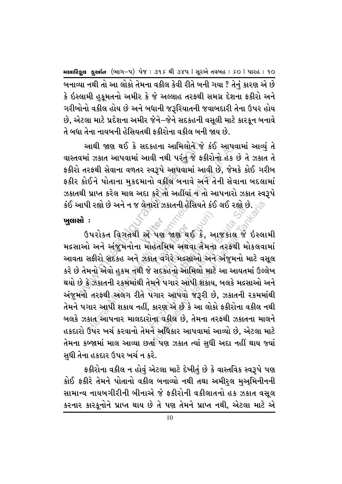બનાવ્યા નથી તો આ લોકો તેમના વકીલ કેવી રીતે બની ગયા ? તેનું કારણ એ છે કે ઇસ્લામી હકુમતનો અમીર કે જે અલ્લાહ તરફથી સમગ્ર દેશના ફકીરો અને ગરીબોનો વકીલ હોય છે અને બધાની જરૂરિયાતની જવાબદારી તેના ઉપર હોય છે, એટલા માટે પ્રદેશના અમીર જેને–જેને સદકહની વસૂલી માટે કારકૂન બનાવે તે બધા તેના નાયબની હેસિયતથી કકીરોના વકીલ બની જાય છે.

આથી જાણ થઈ કે સદકહના આમિલોને જે કંઈ આપવામાં આવ્યું તે વાસ્તવમાં ઝકાત આપવામાં આવી નથી પરંતુ જે ફકીરોનો હેક છે તે ઝકાત તે ફકીરો તરફથી સેવાના વળતર સ્વરૂપે આપવામાં આવી છે. જેમકે કોઈ ગરીબ ફકીર કોઈને પોતાના મુકદમાનો વકીલ બનાવે અને તેની સેવાના બદલામાં ઝકાતથી પ્રાપ્ત કરેલ માલ અદા કરે તો અહીંયાં ન તો આપનારો ઝકાત સ્વરૂપે કંઈ આપી રહ્યો છે અને ન જ લેનારો ઝકાતની હેસિયતે કંઈ લઈ રહ્યો છે. ્ $\oslash$ 

## ખુલાસો :

ઉપરોક્ત વિગતથી એ પણ જાણ થઈ કે, આજકાલ જે ઇસ્લામી મદ્રસાઓ અને અંજુમનોના મોહતમિમ અથવા તેમના તરફથી મોકલવામાં આવતા સફીરો સદકહ અને ઝકાત વગેરે મદ્રસાઓ અને અંજુમનો માટે વસૂલ કરે છે તેમનો એવો હુકમ નથી જે સદકહનો આમિલો માટે આ આયતમાં ઉલ્લેખ થયો છે કે ઝકાતની રકમમાંથી તેમને પગાર આપી શકાય, બલકે મદ્રસાઓ અને અંજુમનો તરફથી અલગ રીતે પગાર આપવો જરૂરી છે, ઝકાતની રકમમાંથી તેમને પગાર આપી શકાય નહીં, કારણુએ છે કે આ લોકો ફકીરોના વકીલ નથી બલકે ઝકાત આપનાર માલદારોના વકીલ છે, તેમના તરફથી ઝકાતના માલને હકદારો ઉપર ખર્ચ કરવાનો તેમને અધિકાર આપવામાં આવ્યો છે, એટલા માટે તેમના કબ્જામાં માલ આવ્યા છતાં પણ ઝકાત ત્યાં સુધી અદા નહીં થાય જ્યાં સુધી તેના હકદાર ઉપર ખર્ચ ન કરે.

ફકીરોના વકીલ ન હોવું એટલા માટે દેખીતું છે કે વાસ્તવિક સ્વરૂપે પણ કોઈ ફકીરે તેમને પોતાનો વકીલ બનાવ્યો નથી તથા અમીરુલ મુઅ્મિનીનની સામાન્ય નાયબગીરીની બીનાએ જે ફકીરોની વકીલાતનો હક ઝકાત વસૂલ કરનાર કારકૂનોને પ્રાપ્ત થાય છે તે પણ તેમને પ્રાપ્ત નથી, એટલા માટે એ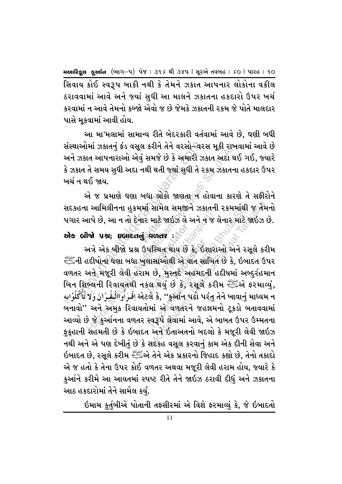સિવાય કોઈ સ્વરૂપ બાકી નથી કે તેમને ઝકાત આપનાર લોકોના વકીલ ઠરાવવામાં આવે અને જ્યાં સધી આ માલને ઝકાતના હકદારો ઉપર ખર્ચ કરવામાં ન આવે તેમનો કબ્જો એવો જ છે જેમકે ઝકાતની રકમ જે પોતે માલદાર પાસે મૂકવામાં આવી હોય.

આ મા'મલામાં સામાન્ય રીતે બેદરકારી વર્તવામાં આવે છે, ઘણી બધી સંસ્થાઓમાં ઝકાતનું ફંડ વસૂલ કરીને તેને વરસો–વરસ મૂકી રાખવામાં આવે છે અને ઝકાત આપનારાઓ એવું સમજે છે કે અમારી ઝકાત અદા થઈ ગઈ, જ્યારે કે ઝકાત તે સમય સુધી અદા નથી થતી જ્યાં સુધી તે ૨કમ ઝકાતના હકદાર ઉપર ખર્ચ ન થઈ જાય.

એ જ પ્રમાણે ઘણા બધા લોકો જાણતા ન હોવાના કારણે તે સફીરોને સદકહના આમિલીનના હુકમમાં સામેલ સમજીને ઝકાતની રકમમાંથી જ તેમનો પગાર આપે છે, આ ન તો દેનાર માટે જાઇઝ લે અને ન જ લેનાર માટે જાઇઝ છે.

એક બીજો પ્રશ્ન; ઇબાદતનું વળતર :

અત્રે એક બીજો પ્રશ્ન ઉપસ્થિત થાય છે કે, ઇશારાઓ અને રસૂલે કરીમ ની હદીષોના ઘણા બધા ખુલાસાઓથી એ વાત સાબિત છે કે, ઇબાદત ઉપર વળતર અને મજૂરી લેવી હરામ છે, મુસ્તદે અહમદની હદીષમાં અબ્દુર્રહમાન બિન શિબ્લની રિવાયતથી નકલ થયું છે કે, રસૂલે કરીમ સ્ટાહ્યું અ ફરમાવ્યું, અટલે કે, ''કુઓન પઢો પરંતુ તેને ખાવાનું માધ્યમ ન فَرَأُواللُغُرُانَ وَلَا تَأْكُلُوَابِهِ બનાવો" અને અમુક રિવાયતોમાં એ**ંવળતરને જહન્નમનો ટૂકડો બતાવવામાં** આવ્યો છે જે કુર્આનના વળતર સ્વરૂપે લેવામાં આવે, એ બાબત ઉપર ઉમ્મતના ફકહાની સહમતી છે કે ઇબાદત અને ઇતાઅતનો બદલો કે મજૂરી લેવી જાઇઝ નથી અને એ પણ દેખીતું છે કે સદકહ વસૂલ કરવાનું કામ એક દીની સેવા અને ઇબાદત છે, રસૂલે કરીમ સ્ટ્રેંકએ તેને એક પ્રકારનો જિહાદ કહ્યો છે, તેનો તકાદો એ જ હતો કે તેના ઉપર કોઈ વળતર અથવા મજૂરી લેવી હરામ હોય, જ્યારે કે કુર્આને કરીમે આ આયતમાં સ્પષ્ટ રીતે તેને જાઇઝ ઠરાવી દીધું અને ઝકાતના આઠ હકદારોમાં તેને સામેલ કર્યં.

ઇમામ કુર્તુબીએ પોતાની તફસીરમાં એ વિશે ફરમાવ્યું કે, જે ઇબાદતો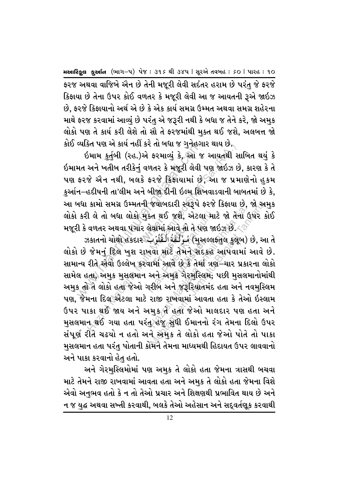ફરજ અથવા વાજિબે એન છે તેની મજૂરી લેવી સદંતર હરામ છે પરંતુ જે ફરજે કિફાયા છે તેના ઉપર કોઈ વળતર કે મજૂરી લેવી આ જ આયતની રૂએ જાઇઝ છે, ફરજે કિફાયાનો અર્થ એ છે કે એક કાર્ય સમગ્ર ઉમ્મત અથવા સમગ્ર શહેરના માથે ફરજ કરવામાં આવ્યું છે પરંતુ એ જરૂરી નથી કે બધા જ તેને કરે, જો અમુક લોકો પણ તે કાર્ય કરી લેશે તો સૌ તે ફરજમાંથી મક્ત થઈ જશે. અલબત્ત જો કોઈ વ્યક્તિ પણ એ કાર્ય નહીં કરે તો બધા જ ગનેહગાર થાય છે.

ઇમામ કુર્તુબી (રહ.)એ ફરમાવ્યું કે, આ જ આયતથી સાબિત થયું કે ઇમામત અને ખતીબ તરીકેનું વળતર કે મજૂરી લેવી પણ જાઇઝ છે, કારણ કે તે પણ ફરજે એન નથી, બલકે ફરજે કિફાયામાં છે, આ જ પ્રમાણેનો હુકમ કુર્આન–હદીષની તા'લીમ અને બીજા દીની ઇલ્મ શિખવાડવાની બાબતમાં છે કે, આ બધા કામો સમગ્ર ઉમ્મતની જવાબદારી સ્વરૂપે ફરજે કિફાયા છે, જો અમુક લોકો કરી લે તો બધા લોકો મુક્ત થઈ જશે, એટલા માટે જો તેના ઉપર કોઈ મજૂરી કે વળતર અથવા પગાર લેવામાં આવે તો તે પણ જાઇઝ છે. $\swarrow\oslash$ 

ઝકાતનો ચોથો હકદાર بِمُؤَلَّفَةُ الْقُلُوُبِ) છે, આ તે લોકો છે જેમનું દિલ ખુશ રાખવો માટે તેમને સદકહ આપવામાં આવે છે. સામાન્ય રીતે એવો ઉલ્લેખ કરવામાં આવે છે કે તેમાં ત્રણ–ચાર પ્રકારના લોકો સામેલ હતા, અમુક મુસલમાન અને અમુક ગેરમુસ્લિમ; પછી મુસલમાનોમાંથી અમક તો તે લોકો હતા<sup>ં</sup>જેઓ ગરીબ અને જરૂરિયાતમંદ હતા અને નવમસ્લિમ પણ, જેમના દિલ એટલા માટે રાજી રાખવામાં આવતા હતા કે તેઓ ઇસ્લામ ઉપર પાકા થઈ જાય અને અમુક તે હતા જેઓ માલદાર પણ હતા અને <u>મુ</u>સલમાન થઈ ગયા હતા પરં<u>તુ હજુ સ</u>ુધી ઈમાનનો રંગ તેમના દિલો ઉપર સંપૂર્ણ રીતે ચઢ્યો ન હતો અને અમક તે લોકો હતા જેઓ પોતે તો પાકા મુસલમાન હતા પરંતુ પોતાની કોમને તેમના માધ્યમથી હિદાયત ઉપર લાવવાનો અને પાકા કરવાનો હેત હતો.

અને ગેરમુસ્લિમોમાં પણ અમુક તે લોકો હતા જેમના ત્રાસથી બચવા માટે તેમને રાજી રાખવામાં આવતા હતા અને અમુક તે લોકો હતા જેમના વિશે એવો અનુભવ હતો કે ન તો તેઓ પ્રચાર અને શિક્ષણથી પ્રભાવિત થાય છે અને ન જ યુદ્ધ અથવા સખ્તી કરવાથી, બલકે તેઓ અહેસાન અને સદ્દવર્તણૂક કરવાથી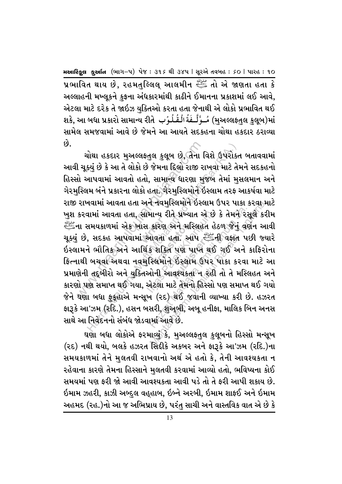પ્રભાવિત થાય છે, રહમતુલ્લિલ્ આલમીન ﷺ તો એ જાણતા હતા કે અલ્લાહની મખ્લુકને કફના અંધકારમાંથી કાઢીને ઈમાનના પ્રકાશમાં લઈ આવે. એટલા માટે દરેક તે જાઇઝ યુક્તિઓ કરતા હતા જેનાથી એ લોકો પ્રભાવિત થઈ શકે, આ બધા પ્રકારો સામાન્ય રીતે بِأَلْفُلُوُبِ શકે, આ બધા પ્રકારો સામાન્ય રીતે بِهِ اللَّهُ الْمُشَا સામેલ સમજવામાં આવે છે જેમને આ આયતે સદકહના ચોથા હકદાર ઠરાવ્યા  $63$ 

ચોથા હકદાર મુઅલ્લફ્તુલ કુલૂબ છે, તેના વિશે ઉપરોક્ત બતાવવામાં આવી ચૂક્યું છે કે આ તે લોકો છે જેમના દિલો રાજી રાખવા માટે તેમને સદકહનો હિસ્સો આપવામાં આવતો હતો, સામાન્ય ધારણા મુજબ તેમાં મુસલમાન અને ગેરમુસ્લિમ બંને પ્રકારના લોકો હતા. ગેરમુસ્લિમોને ઇસ્લામ તરફ આકર્ષવા માટે રાજી રાખવામાં આવતા હતા અને નવમસ્લિમોને ઇસ્લામ ઉપર પાકા કરવા માટે ખુશ કરવામાં આવતા હતા, સામાન્ય રીતે પ્રખ્યાત એ છે કે તેમને રસૂલે કરીમ ના સમયકાળમાં એક ખાસ કારણ અને મસ્લિહત હેઠળ જેનું વર્ણન આવી, المَنْتِيُّ ચૂક્યું છે, સદકહ આપવામાં આવતા હતા. આપ સ્ટેંગેની વફાત પછી જ્યારે ઇસ્લામને ભૌતિક અને આર્થિક શક્તિ પણ પાપ્ત થઈ ગઈ અને કાફિરોના ફિત્નાથી બચવા અથવા નવમુસ્લિમોને ઇસ્લામ ઉપર પાકા કરવા માટે આ પ્રમાણેની તદ્દબીરો અને યુક્તિઓની આવશ્યકતા″ન રહી તો તે મસ્લિહત અને કારણો પણ સમાપ્ત થઈ ગયા, એટલા માટે તેમનો હિસ્સો પણ સમાપ્ત થઈ ગયો જેને ઘણા બધા ફુકુહાએ મન્સૂખ (રદ) થઈ જવાની વ્યાખ્યા કરી છે. હઝરત ફારૂકે આ'ઝમ (રૂદિ.), હસન બસરી, શુઅુબી, અબૂ હનીફા, માલિક બિન અનસ સાથે આ નિવેદનનો સંબંધ જોડવામાં આવે છે.

ઘણા બધા લોકોએ ફરમાવ્યું કે, મુઅલ્લફતુલ કુલૂબનો હિસ્સો મન્સૂખ (રદ) નથી થયો, બલકે હઝરત સિદ્દીકે અકબર અને ફારૂકે આ'ઝમ (રદિ.)ના સમયકાળમાં તેને મુલતવી રાખવાનો અર્થ એ હતો કે, તેની આવશ્યકતા ન રહેવાના કારણે તેમના હિસ્સાને મલતવી કરવામાં આવ્યો હતો, ભવિષ્યના કોઈ સમયમાં પણ કરી જો આવી આવશ્યકતા આવી પડે તો તે કરી આપી શકાય છે. ઇમામ ઝહરી, કાઝી અબ્દુલ વહ્હાબ, ઇબ્ને અરબી, ઇમામ શાફઈ અને ઇમામ અહમદ (રહ.)નો આ જ અભિપ્રાય છે, પરંતુ સાચી અને વાસ્તવિક વાત એ છે કે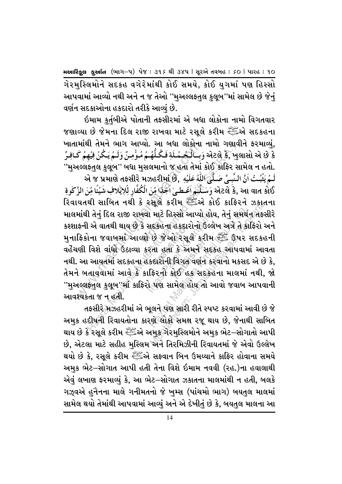ગેરમુસ્લિમોને સદકહ વગેરેમાંથી કોઈ સમયે, કોઈ યુગમાં પણ હિસ્સો આપવામાં આવ્યો નથી અને ન જ તેઓ ''મઅલ્લફતલ કલૂબ''માં સામેલ છે જેનં વર્ણન સદકાઓના હકદારો તરીકે આવ્યું છે.

ઇમામ <u>કર્ત</u>બીએ પોતાની તફસીરમાં એ બધા લોકોના નામો વિગતવાર જણાવ્યા છે જેમના દિલ રાજી રાખવા માટે રસૂલે કરીમ સ્ટેંકએ સદકહના ખાતામાંથી તેમને ભાગ આપ્યો. આ બધા લોકોના નામો ગણાવીને ફરમાવ્યં, ة 29 अंटर्स కे, ખુલાસો એ છે કે وَبِسَالَكُمِمُمِلَةِ فَكُلُّهُمْ مُؤْمِنٌ وَلَمُ يَكُنُ فِيُهِمْ كَافِرٌ ''મુઅલ્લફ્તુલ કુલૂબ'' બધા મુસલમાનો જ હતા તેમાં કોઈ કાફિર સામેલ ન હતો. لَـمُ يَثْبُـتُ اَنَّ الـنَّبِيَّ صَـلَّىٰ اللَّهُ عَلَيُهِ , એ જ પ્રમાણે તફસીરે મઝહરીમાં છે, فَلَدَّ એટલે કે, આ વાત કોઈ وَسَـلَّـَمَ اَعْـطـىٰ اَحْدًا مِّنَ الْكُفَّارِ لِلِايَلافِ شَيْئًا مِّنَ الزَّكْوةِ રિવાયતથી સાબિત નથી કે રસૂલે કરીમ સ્ટાર્ઝિકોઈ કાફિરને ઝકાતના માલમાંથી તેનું દિલ રાજી રાખવા માટે હિસ્સો આપ્યો હોય, તેનું સમર્થન તફસીરે કશ્શાકની એ વાતથી થાય છે કે સદકહના હકદારોનો ઉલ્લેખ અત્રે તે કારિરો અને મુનાફિકોના જવાબમાં આવ્યો છે જેઓ રસૂલે કરીમ ﷺ ઉપર સદકહની વહેંચણી વિશે વાંધો ઉઠાવ્યા કરતા હતા કે અમને સદકહ આપવામાં આવતા નથી. આ આયતમાં સદકહના હેકદારોની વિગત વર્ણન કરવાનો મકસદ એ છે કે, તેમને બતાવવામાં આવે કે કાફિરનો કોઈ હક સદકહના માલમાં નથી, જો ''મુઅલ્લફ્તુલ કુલૂબ''માં કાફિરો પણ સામેલ હોય તો આવો જવાબ આપવાની આવશ્યકતા જ ન હતી.

તફસીરે મઝહરીમાં એ ભૂલને પણ સારી રીતે સ્પષ્ટ કરવામાં આવી છે જે અમુક હદીષની રિવાયતોના કારણે લોકો સમક્ષ રજૂ થાય છે, જેનાથી સાબિત થાય છે કે રસૂલે કરીમ સ્ટેં∄એ અમુક્રગેરમુસ્લિમોને અમુક ભેટ–સોગાતો આપી છે, એટલા માટે સહીહ મુસ્લિમ અને તિરમિઝીની રિવાયતમાં જે એવો ઉલ્લેખ થયો છે કે, રસૂલે કરીમ સ્ટેંગ્રેએ સફ્વાન બિન ઉમય્યાને કાફિર હોવાના સમયે અમુક ભેટ–સોગાત આપી હતી તેના વિશે ઇમામ નવવી (રહ.)ના હવાલાથી એવં લખાણ ફરમાવ્યં કે, આ ભેટ–સોગાત ઝકાતના માલમાંથી ન હતી, બલકે ગઝૂવએ હનૈનના માલે ગનીમતનો જે ખમ્સ (પાંચમો ભાગ) બયતલ માલમાં સામેલ થયો તેમાંથી આપવામાં આવ્યું અને એ દેખીતું છે કે, બયતુલ માલના આ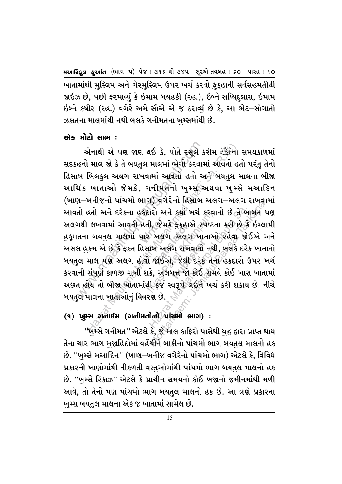ખાતામાંથી મસ્લિમ અને ગેરમસ્લિમ ઉપર ખર્ચ કરવો ફકહાની સર્વસહમતીથી જાઇઝ છે, પછી ફરમાવ્યં કે ઇમામ બયહકી (રહ.), ઇબ્ને સય્યિદન્નાસ, ઇમામ ઇબ્ને કષીર (રહ.) વગેરે અમે સૌએ એ જ ઠરાવ્યં છે કે, આ ભેટ–સોગાતો ઝકાતના માલમાંથી નથી બલકે ગનીમતના ખમ્સમાંથી છે.

## એક મોટો લાભ :

એનાથી એ પણ જાણ થઈ કે, પોતે રસૂલે કરીમ સ્ટ્રેંકનો સમયકાળમાં સદકહનો માલ જો કે તે બયતલ માલમાં ભેગો કરવામાં આવતો હતો પરંત તેનો હિસાબ બિલકલ અલગ રાખવામાં આવતો હતો અને બયતલ માલના બીજા આર્થિક ખાતાઓ જેમકે, ગનીમતનો ખમ્સ અથવા ખમ્સે મઆદિન (ખાણ–ખનીજનો પાંચમો ભાગ) વગેરેનો હિસાબ અલગ–અલગ રાખવામાં આવતો હતો અને દરેકના હકદારો અને <u>ક્</u>યાં ખર્ચ કરવાનો છે તે<sup>∂</sup>બાબત પણ અલગથી લખવામાં આવતી હતી, જેમકે ફૂકુહાએ સ્પષ્ટતા કરી છે કે ઇસ્લામી હુકૂમતના બયતુલ માલમાં ચાર અલગ–અલગ ખાતાઓ રહેવા જોઈએ અને અસલ હકમ એ છે કે ફક્ત હિસાબ અલગ રાખવાનો નથી. બલકે દરેક ખાતાનો બયતલ માલ પણ અલગ હોવો જોઈએ. જેથી દરેક તેના હકદારો ઉપર ખર્ચ કરવાની સંપૂર્ણ કાળજી રાખી શકે, અલબત્ત જો કોઈ સમયે કોઈ ખાસ ખાતામાં અછત હોય તો બીજા ખાતામાંથી કર્જ સ્વરૂપે લઈને ખર્ચ કરી શકાય છે. નીચે બયતુલ માલના ખાતાઓનું વિવરણ છે.

# (૧) ખુમ્સ ગુનાઈમ (ગનીમતોનો પાંચમો ભાગ) :

''ખુમ્સે ગનીમત'' એટલે કે, જે માલ કાફિરો પાસેથી યુદ્ધ દ્વારા પ્રાપ્ત થાય તેના ચાર ભાગ મજાહિદોમાં વહેંચીને બાકીનો પાંચમો ભાગ બયતલ માલનો હક છે. ''ખમ્સે મઆદિન'' (ખાણ–ખનીજ વગેરેનો પાંચમો ભાગ) એટલે કે, વિવિધ પ્રકારની ખાણોમાંથી નીકળતી વસ્તઓમાંથી પાંચમો ભાગ બયતલ માલનો હક છે. ''ખમ્સે રિકાઝ'' એટલે કે પ્રાચીન સમયનો કોઈ ખજાનો જમીનમાંથી મળી આવે, તો તેનો પણ પાંચમો ભાગ બયતુલ માલનો હક છે. આ ત્રણે પ્રકારના ખુમ્સ બયતુલ માલના એક જ ખાતામાં સામેલ છે.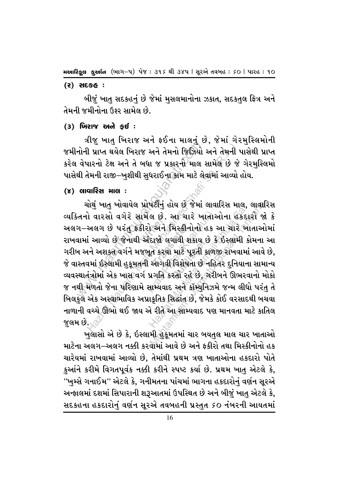#### $(5)$  સદકહ:

બીજં ખાત સદકહનં છે જેમાં મસલમાનોના ઝકાત, સદકતલ ફિત્ર અને તેમની જમીનોના ઉશ્ર્ર સામેલ છે.

#### $(3)$  ખિરાજ અને કઈ:

ત્રીજ ખાત ખિરાજ અને ફઈના માલનું છે. જેમાં ગેરમસ્લિમોની જમીનોની પ્રાપ્ત થયેલ ખિરાજ અને તેમનો જિઝિયો અને તેમની પાસેથી પ્રાપ્ત કરેલ વેપારનો ટેક્ષ અને તે બધા જ પ્રકારનો માલ સામેલ છે જે ગેરમસ્લિમો પાસેથી તેમની રાજી–ખુશીથી સુધરાઈના કામ માટે લેવામાં આવ્યો હોય.

#### (૪) લાવારિસ માલ :

ચોથું ખાતુ ખોવાયેલ પ્રોપર્ટીનું હોય છે જેમાં લાવારિસ માલ, લાવારિસ વ્યક્તિનો વારસો વગેરે સામેલ છે. આ ચારે ખાતાઓના હકદારો જો કે અલગ–અલગ છે પરંતુ ફકીરો અને મિસ્કીનોનો હક આ ચારે ખાતાઓમાં રાખવામાં આવ્યો છે જેનાથી અંદાજો લગાવી શકાય છે કે ઇસ્લામી કોમના આ ગરીબ અને અશક્ત વર્ગને મજબૂત કરવા માટે પૂરતી કાળજી રાખવામાં આવે છે, જે વાસ્તવમાં ઇસ્લામી હકુમતની આગવી વિશેષતા છે નહિતર દનિયાના સામાન્ય વ્યવસ્થાતંત્રોમાં એક ખાસ વર્ગ પ્રગતિ કરતો રહે છે, ગરીબને ઊભરવાનો મોકો જ નથી મળતો જેના પરિણામે સામ્યવાદ અને કૉમ્યુનિઝમે જન્મ લીધો પરંતુ તે બિલકુલ એક અસ્વાભાવિક અપ્રાકૃતિક સિદ્ઘાંત છે, જેમકે કોઈ વરસાદથી બચવા નાળાની વચ્ચે ઊભો થઈ જાય એ રીતે આ સામ્યવાદ પણ માનવતા માટે કાતિલ જલમ છે.

ખલાસો એ છે કે, ઇસ્લામી હકુમતમાં ચાર બયતલ માલ ચાર ખાતાઓ માટેના અલગ–અલગ નક્કી કરવામાં આવે છે અને કકીરો તથા મિસ્કીનોનો હક ચારેયમાં રાખવામાં આવ્યો છે, તેમાંથી પ્રથમ ત્રણ ખાતાઓના હકદારો પોતે કર્આને કરીમે વિગતપૂર્વક નક્કી કરીને સ્પષ્ટ કર્યા છે. પ્રથમ ખાત એટલે કે, ''ખુમ્સે ગનાઈમ'' એટલે કે, ગનીમતના પાંચમાં ભાગના હકદારોનું વર્ણન સૂરએ અન્ફાલમાં દશમાં સિપારાની શરૂઆતમાં ઉપસ્થિત છે અને બીજું ખાતુ એટલે કે, સદકહના હકદારોનું વર્ણન સૂરએ તવબહની પ્રસ્તુત ૬૦ નંબરની આયતમાં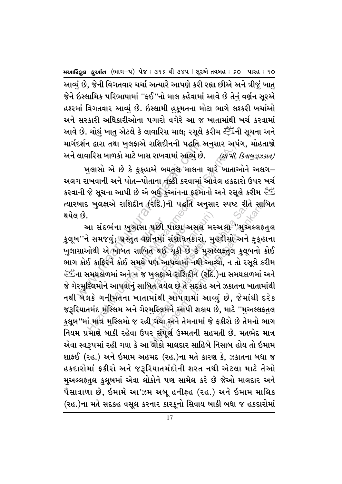આવ્યું છે, જેની વિગતવાર ચર્ચા અત્યારે આપણે કરી રહ્યા છીએ અને ત્રીજું ખાતુ જેને ઇસ્લામિક પરિભાષામાં ''ફઈ''નો માલ કહેવામાં આવે છે તેનં વર્ણન સુરએ હશ્ર્માં વિગતવાર આવ્યું છે. ઇસ્લામી હુકૂમતના મોટા ભાગે લશ્કરી ખર્ચાઓ અને સરકારી અધિકારીઓના પગારો વગેરે આ જ ખાતામાંથી ખર્ચ કરવામાં આવે છે. ચોથું ખાતુ એટલે કે લાવારિસ માલ; રસૂલે કરીમ સ્<sup>થુનુ</sup>ંની સૂચના અને માર્ગદર્શન દ્વારા તથા ખલફાએ રાશિદીનની પદ્ધતિ અનસાર અપંગ, મોહતાજો અને લાવારિસ બાળકો માટે ખાસ રાખવામાં આવ્યું છે. *(શાંપી, કિતાબુઝ્ઝકાત)* 

ખુલાસો એ છે કે ફકુહાએ બયતલ માલના ચારે ખાતાઓને અલગ $-$ અલગ રાખવાની અને પોત–પોતાના નક્કી કરવામાં આવેલ હકદારો ઉપર ખર્ચ  $\,$ કરવાની જે સૂચના આપી છે એ બર્ધ કર્આનના ફરમાનો અને રસૂલે કરીમ  $\,$ ત્યારબાદ ખુલફાએ રાશિદીન (રદિ.)ની પદ્ધતિ અનુસાર સ્પષ્ટ રીતે સાબિત થયેલ છે.

દશન દારા તથા ખુલફાએ રાશિદાનના પદ્ધાત આ<br>લાવારિસ બાળકો માટે ખાસ રાખવામાં આવ્યું છે.<br>ગ રાખવાની અને પોત–પોતાના નક્કી કરવામાં<br>મી જે સૂચના આપી છે એ બહી કુર્આનના ફરમા<br>બાદ ખુલફાએ રાશિદીન (રદિ.)ની પદ્ધતિ અન્<br>માં છે.<br>આ સંદર્ભના ખુલ .<br>આ સંદર્ભના ખુલાસા પછી પાછા અસલ મસ્અલા<sup>ં,</sup>'મુઅલ્લકતુલ<br>કુલૂબ''ને સમજવું; પ્રસ્તુત વર્ણનમાં સંશોધનકારો, મુહદીસો અને ફુક્હાના ાછી પાછા **ઝ**<br>નમાં સંશોધન<br>િથઈ ચૂકી છે<br>ણ આપવામાં રક્ષાવનકારા,<br>યૂકી છે કે મુ<sup>;</sup><br>પવામાં નથી ર<br>રાશિદીન (ર ન દારા તથા ખુલફાઅ રાાશકાનના પદ્ધાત અનુસાર અપ<br>પરિસ બાળકો માટે ખાસ રાખવામાં આવ્યું છે.<br>બુલાસો એ છે કે ફુક્હાએ બયતુલ માલના ચારે ખાતાઃ<br>પિવાની અને પોત−પોતાના નક્કી કરવામાં આવેલ હકદ<br>જે સૂચના આપી છે એ બધું કુઆનના ફરમાનો અને રસ્<br> <br>પછી પાછા અસલ મન<br>ર્ણનમાં સંશોધનકારો, મુ<br>પણ આપવામાં નથી આ<br>ખુલફાએ રાશિદીન (રદિ<br>ખુલફાએ રાશિદીન (રદિ<br>બેત થયેલ છે તે સદકહ અ ે પછી પાછા અસલે મસ્અલો ''મુરુ<br>મંત્રમાં સંશોધનકારો, મુહદ્દીસો અને<br>તે થઈ ચૂકી છે કે મુઅલ્લફ્ર્તુલ કુલૂ<br>પણ આપવામાં નથી આવ્યો, ન તો રઃ<br>મુસ્લિમને આપી શકાય છે, માટે ''મુઃ<br>મુસ્લિમને આપી શકાય છે, માટે ''મુઃ<br>મુસ્લિમને આપી શકાય છે, રાદે.)ની પદ્ધતિ અનુસાર સ્પષ્ટ રીતે સાહિ<br>પછી પાછા અસલે મસ્અલા ''મુઅલ્લકત<br>મિમાં સંશોધનકારો, મુહદ્દીસો અને ફુક્હા<br>તે થઈ ચૂકી છે કે મુઅલ્લફ્તુલ કુલૂબનો ક<br>પણ આપવામાં નથી આવ્યો, ન તો રસૂલે કર્ર<br>મુલક્ષએ રાશિદીન (રદિ.)ના સમયકાળમા આ સંદર્ભના ખુલાસા પછી પાછા અસલ મસ્અલા ''મુએલ્લકતુલ ખુલાસાઓથી એ બાબત સાબિત થઈ ચૂકી છે કે મુઅલ્લફતુલ કુલૂબનો કોઈ ભાગ કોઈ કાફિરને કોઈ સમયે પણ આપવામાં નથી આવ્યો, ન તો રસૂલે કરીમ السَّطِّعُ ,ના સમયકાળમાં અને ન જ ખુલફાએ રાશિદીન (રદિ.)ના સમયકાળમાં અને જે ગેરમુસ્લિમોને આપવાનું સાબિત થયેલ છે તે સદકહ અને ઝકાતના ખાતામાંથી નથી બેલકે ગનીમતના ખાતામાંથી આપવામાં આવ્યું છે, જેમાંથી દરેક જરૂરિયાતમંદ મુસ્લિમ અને ગેરમુસ્લિમને આપી શકાય છે, માટે ''મુઅલ્લફ્તુલ કુલૂબ ''માં માત્ર મુસ્લિમો જ રહી ગયા અને તેમનામાં જે ફકીરો છે તેમનો ભાગ નિયમ પ્રમાણે બાકી રહેવા ઉપર સંપૂર્ણ ઉમ્મતની સહમતી છે. મતભેદ માત્ર એવા સ્વરૂપમાં રહી ગયા કે આ લોકો માલદાર સાહિબે નિસાબ હોય તો ઇમામ શાફઈ (રહ.) અને ઇમામ અહમદ (રહ.)ના મતે કારણ કે, ઝકાતના બધા જ હકદારોમાં ફકીરો અને જરૂરિયાતમંદોની શરત નથી એટલા માટે તેઓ મઅલ્લફતલ કલુબમાં એવા લોકોને પણ સામેલ કરે છે જેઓ માલદાર અને પેસાવાળા છે, ઇમામે આ'ઝમ અબૂ હનીફહ (રહ.) અને ઇમામ માલિક (રહ.)ના મતે સદકહ વસૂલ કરનાર કારકૂનો સિવાય બાકી બધા જ હકદારોમાં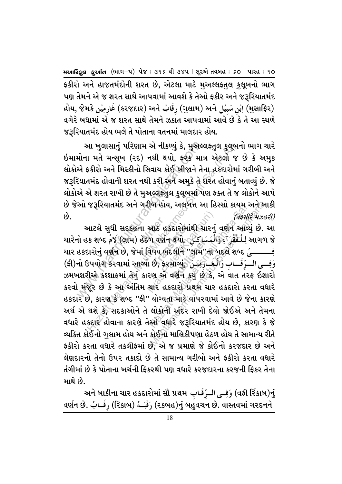ફકીરો અને હાજતમંદોની શરત છે, એટલા માટે મુઅલ્લફ્તુલ કુલૂબનો ભાગ પણ તેમને એ જ શરત સાથે આપવામાં આવશે કે તેઓ ફકીર અને જરૂરિયાતમંદ હોય, જેમકે أَبْنِ سَبِيُل (ગુલામ) અને (ગુલામ) અને (મુસાફિર) વગેરે બધામાં એ જ શરત સાથે તેમને ઝકાત આપવામાં આવે છે કે તે આ સ્થળે જરૂરિયાતમંદ હોય ભલે તે પોતાના વતનમાં માલદાર હોય.

આ ખુલાસાનું પરિણામ એ નીકળ્યું કે, મુઅલ્લફતુલ કુલૂબનો ભાગ ચારે ઇમામોના મતે મન્સૂખ (રદ) નથી થયો, ફરક માત્ર એટલો જ છે કે અમુક લોકોએ ફકીરો અને મિસ્કીનો સિવાય કોઈ બીજાને તેના હકદારોમાં ગરીબી અને જરૂરિયાતમંદ હોવાની શરત નથી કરી અને અમુકે તે શરત હોવાનું બતાવ્યું છે. જે લોકોએ એ શરત રાખી છે તે મઅલ્લફતલ કલૂબમાં પણ ફક્ત તે જ લોકોને આપે છે જેઓ જરૂરિયાતમંદ અને ગરીબ હોય, અલબત્ત આ હિસ્સો કાયમ અને બાકી  $\hat{9}$ . (તફસીરે મઝહરી)

આટલે સુધી સદકહના આઠ હકદારોમાંથી ચારનું વર્ણન આવ્યું છે. આ ચારેનો હક શબ્દ وَالۡهَسَاكِينَ (લામ) હેઠળ વર્ણન થયો. تَامُ આગળ જે ચાર હકદારોનું વર્ણન છે, જેમાં વિષય બદલીને ''લામ''ના બદલે શબ્દ (مسير ) (ફી)નો ઉપયોગ કરવામાં આવ્યો છે, ફરમાવ્યું, وَفِسى السرِّقَسابِ وَالْغَسَارَبِيْسَ ઝમખશરીએ કશ્શાકમાં તેનું કારણ એ વર્ણન કર્યું છે કે, એ વાત તરફ ઇશારો કરવો મંજૂર છે કે આ અંતિમ ચાર હકદારો પ્રથમ ચાર હકદારો કરતા વધારે હકદાર છે, કારણ કે શબ્દ ''ફી'' યોગ્યતા માટે વાપરવામાં આવે છે જેના કારણે અર્થ એ થશે કે, સદકાઓને તે લોકોની અંદર રાખી દેવો જોઈએ અને તેમના વધારે હકદાર હોવાના કારણે તેઓ વધારે જરૂરિયાતમંદ હોય છે, કારણ કે જે વ્યક્તિ કોઈનો ગલામ હોય અને કોઈના માલિકીપણા હેઠળ હોય તે સામાન્ય રીતે ફકીરો કરતા વધારે તકલીફમાં છે. એ જ પ્રમાણે જે કોઈનો કરજદાર છે અને લેણદારનો તેનો ઉપર તકાદો છે તે સામાન્ય ગરીબો અને ફકીરો કરતા વધારે તંગીમાં છે કે પોતાના ખર્ચની કિકરથી પણ વધારે કરજદારના કરજની કિકર તેના માથે છે.

અને બાકીના ચાર હકદારોમાં સૌ પ્રથમ فِلـِ وَفَــِي الـرِّقَـابِ (વફી ર્રિકાબ)નું વર્ણન છે. رَقَبَـهُ (રિકાબ) رَقَبَـهُ (રકબહ)નું બહુવચન છે. વાસ્તવમાં ગરદનને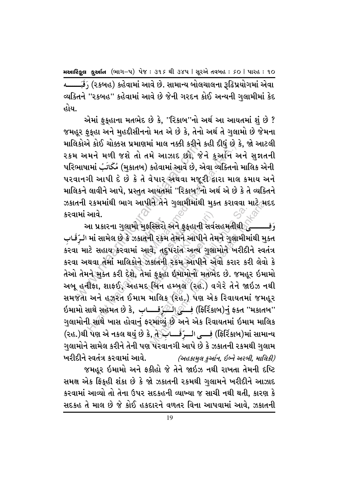(રકબહ) કહેવામાં આવે છે. સામાન્ય બોલચાલના રૂઢિપ્રયોગમાં એવા વ્યક્તિને ''રકબહ'' કહેવામાં આવે છે જેની ગરદન કોઈ અન્યની ગલામીમાં કેદ હોય.

એમાં ફૂકુહાના મતભેદ છે કે, ''રિકાબ''નો અર્થ આ આયતમાં શું છે ? જમહૂર ફૂકુહા અને મુહદ્દીસીનનો મત એ છે કે, તેનો અર્થ તે ગુલામો છે જેમના માલિકોએ કોઈ ચોક્કસ પ્રમાણમાં માલ નક્કી કરીને કહી દીધં છે કે, જો આટલી ૨કમ અમને મળી જશે તો તમે આઝાદ છો, જેને કુઅનિ અને સુશતની પરિભાષામાં مُكَاتَبُ (મુકાતબ) કહેવામાં આવે છે, એવા વ્યક્તિનો માલિક એની પરવાનગી આપી દે છે કે તે વેપાર અથવા મજૂરી દ્વારા માલ કમાય અને માલિકને લાવીને આપે, પ્રસ્તુત આયતમાં ''રિકાબુ'/નો અર્થ એ છે કે તે વ્યક્તિને ઝકાતની રકમમાંથી ભાગ આપીને તેને ગુલામીમાંથી મુક્ત કરાવવા માટે મદદ કરવામાં આવે.

આ પ્રકારના ગુલામો મુફસ્સિરો અને ફૂકુહાની સર્વસહમતીથી દુ — وَفِــــــــــع ામાં સામેલ છે કે ઝકાતની રકમ તેમને આપીને તેમને ગુલામીમાંથી મુક્ત الرَّقَـاب કરવા માટે સહાય કરવામાં આવે, તદુપરાંત અન્ય ગુલામોને ખરીદીને સ્વતંત્ર કરવા અથવા તેમાં માલિકોને ઝકાતની રકમ આપીને એવો કરાર કરી લેવો કે તેઓ તેમને મુક્ત કરી દેશે, તેમાં ફુકૂહા ઇમામોનો મતભેદ છે. જમહૂર ઇમામો અબૂ હનીફા, શાફઈ, અહમદ બિન હમ્બલ (રહ.) વગેરે તેને જાઇઝ નથી સમજતા અને હઝરત ઈમામ માલિક (રહ.) પણ એક રિવાયતમાં જમહૂર ઇમામો સાથે સહેમત છે કે, وَلَكَيْرَقِـــابِ) હું ફર્સિકાબ)નું ફક્ત ''મકાતબ'' ગુલામોની સાથે ખાસ હોવાનું ફરમાવ્યું છે અને એક રિવાયતમાં ઇમામ માલિક (રહ.)થી પણ એ નકલ થયું છે કે, તે جَلْبَ (રહ.)થી પણ એ નકલ થયું છે કે, તે ગુલામોને સામેલ કરીને તેની પણ પરવાનગી આપે છે કે ઝકાતની રકમથી ગુલામ ખરીદીને સ્વતંત્ર કરવામાં આવે. (અહકામલ કર્આન. ઇબ્ને અરબી. માલિકી)

જમહૂર ઇમામો અને ફકીહો જે તેને જાઇઝ નથી રાખતા તેમની દષ્ટિ સમક્ષ એક ફિકુહી શંકા છે કે જો ઝકાતની રકમથી ગુલામને ખરીદીને આઝાદ કરવામાં આવ્યો તો તેના ઉપર સદકહની વ્યાખ્યા જ સાચી નથી થતી, કારણ કે સદકહ તે માલ છે જે કોઈ હકદારને વળતર વિના આપવામાં આવે, ઝકાતની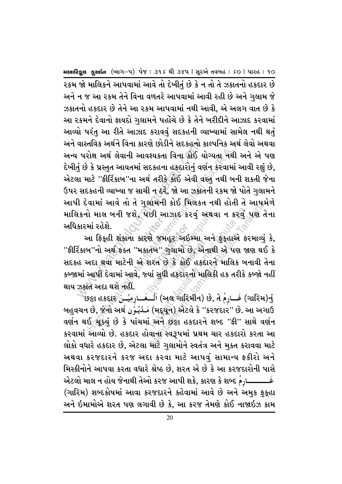વાસ્તાવક અથન વિના કારણ છાડાન સદકહના ક<br>. પરોક્ષ અર્થલેવાની આવશ્યકતા વિના કોઈ યોગી કે પ્રસ્તુત આયતમાં સદકહના હકદારોનું વર્ણ<br>માં માટે ''ફીર્રિકાબ''ના અર્થ તરીકે કોઈ એવી વઃ<br>સદકહની વ્યાખ્યા જ સાચી ન ઠરે, જો આ ઝકાત<br>ડિવામાં આવે .<br>આ ફિક્**હી શંકાના કારણે જમહૂર અઇમ્મા અને ફુક્**હાએ કરમાવ્યું કે, તાવક અથન ાવના કારણ છાડાન સદકહના કાલ્પાનક અ<br>રોક્ષ અર્થ લેવાની આવશ્યકતા વિના કોઈ યોગ્યતા નથી<br>મંદે પ્રસ્તુત આયતમાં સદકહના હકદારોનું વર્ણન કરવામાં<br>માટે ''ફીર્રિકાબ''ના અર્થ તરીકે કોઈ એવી વસ્તુ નથી બન્<br>દકહની વ્યાખ્યા જ સાચી ન ૨કમ જો માલિકને આપવામાં આવે તો દેખીતું છે કે ન તો તે ઝકાતનો હકદાર છે અને ન જ આ રકમ તેને વિના વળતરે આપવામાં આવી રહી છે અને ગલામ જે ઝકાતનો હકદાર છે તેને આ રકમ આપવામાં નથી આવી, એ અલગ વાત છે કે આ રકમને દેવાનો ફાયદો ગલામને પહોંચે છે કે તેને ખરીદીને આઝાદ કરવામાં આવ્યો પરંત આ રીતે આઝાદ કરાવવં સદકહની વ્યાખ્યામાં સામેલ નથી થતં અને વાસ્તવિક અર્થને વિના કારણે છોડીને સદકહનો કાલ્પનિક અર્થ લેવો અથવા અન્ય પરોક્ષ અર્થ લેવાની આવશ્યકતા વિના કોઈ યોગ્યતા નથી અને એ પણ દેખી<u>ત</u>ું છે કે પ્રસ્તુત આયતમાં સદકહના હકદારોનું વર્ણન કરવામાં આવી રહ્યું છે, એટલા માટે ''ફીર્રિકાબ''ના અર્થ તરીકે કોઈ એવી વસ્તુ નથી બની શકતી જેના ઉપર સદકહની વ્યાખ્યા જ સાચી ન ઠરે, જો આ ઝકાતની રકમ જો પોતે ગુલામને આપી દેવામાં આવે તો તે ગલામની કોઈ મિલકત નથી હોતી તે આપમેળે માલિકનો માલ બની જશે, પછી આઝાઈ કરવું અથવા ન ક<u>રવું પ</u>ણ તેના અધિકારમાં રહેશે.

.<br>. જમહૂર અઇ<br>બ <sup>,</sup> ગુલામો દ<br>રત છે કે કોઈ ર્<br>લામો છે, એન્<br>કે કોઈ હકદા<br>હકદારનો માહિ ાછી આઝાદ કરવું અથ<br>પણ જમહૂર અઇમ્મા અને<br>પ્તબ'' ગુલામો છે, એનાથ<br>શરત છે કે કોઈ હકદારન<br>પાં સુધી હકદારનો માલિક<br>' કી આઝા<del>દ કરવું અ</del>થવા ન કરવું<br>શે જમહૂર અઇમ્મા અને ફુક્હાએ કઃ<br>તેખ'' ગુલામો છે, એનાથી એ પણ જા<br>પરત છે કે કોઈ હકદારને માલિક બ<br>માં સુધી હકદારનો માલિકી હક તરીકે<br>્રંગ (મદ્યૂન) એટલે કે ''કરજદાર'' છે. ર<br>સ્મને છટા હકદારને શબ્દ ''ફી નમના કાઈ ામલકત નથા હાતા ત આપમ<br>છી આઝાદ કરવું અથવા ન કરવું પણ તે<br>રે જમહૂર અઇમ્મા અને ફુકહાએ ફરમાવ્યું<br>તેબ'' ગુલામો છે, એનાથી એ પણ જાણ થઈ<br>ારત છે કે કોઈ હકદારને માલિક બનાવી તે<br>મં સુધી હકદારનો માલિકી હક તરીકે કબ્જો ન<br>ગં (અલ ગ ''ફીર્રિકાબ''નો અર્થ ફક્ત ''મકાતબે'' ગુલામો છે, એનાથી એ પણ જાણ થઈ કે સદકહ અદા થવા માટેની એ શરત છે કે કોઈ હકદારને માલિક બનાવી તેના કબ્જામાં આપી દેવામાં આવે, જ્યાં સુધી હકદારનો માલિકી હક તરીકે કબ્જો નહીં થાય ઝકાત અદા થશે નહીં.

છં (ગારિમ)નું (અલ ગારિમીન) છે, તે فَــارِمِيُــنَ (ગારિમ)નું ø Ö û ø û બહુવચન છે, જેનો અર્થ نَـلُـوُن(મદ્ર્યૂન) એટલે કે ''કરજદાર'' છે. આ અગાઉ વર્ણન થઈ ચૂક્યું છે કે પાંચમાં અને છુટ્ટા હકદારને શબ્દ ''ફી'' સાથે વર્ણન કરવામાં આવ્યો છે. હકદાર હોવાના સ્વરૂપમાં પ્રથમ ચાર હકદારો કરતા આ લોકો વધારે હકદાર છે, એટલા માટે ગુલામોને સ્વતંત્ર અને મુક્ત કરાવવા માટે અથવા કરજદારને કરજ અદા કરવા માટે આપવું સામાન્ય ફકીરો અને મિસ્કીનોને આપવા કરતા વધારે શ્રેષ્ઠ છે, શરત એ છે કે આ કરજદારોની પાસે એટલો માલ ન હોય જેનાથી તેઓ કરજ આપી શકે, કારણ કે શબ્દ એં û (ગારિમ) શબ્દકોષમાં આવા કરજદારને કહેવામાં આવે છે અને અમુક ફુકુહા અને ઇમામોએ શરત પણ લગાવી છે કે, આ કરજ તેમણે કોઈ નાજાઇઝ કામ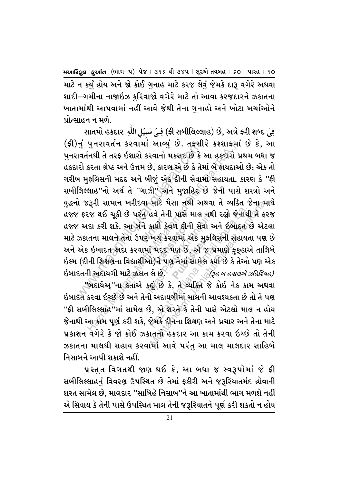માટે ન કર્યું હોય અને જો કોઈ ગુનાહ માટે કરજ લેવું જેમકે દારૂ વગેરે અથવા શાદી–ગમીના નાજાઇઝ કરિવાજો વગેરે માટે તો આવા કરજદારને ઝકાતના ખાતામાંથી આપવામાં નહીં આવે જેથી તેના ગનાહો અને ખોટા ખર્ચાઓને પ્રોત્સાહન ન મળે.

هِيُ مَسِيُلِ اللَّهِ ald+l) છે, અત્રે ફરી શબ્દ (ફી)નું પત્તરાવર્તન કરવામાં આવ્યું છે. તફસીરે કશ્શાફમાં છે કે, આ પુનરાવર્તનથી તે તરફ ઇશારો કરવાનો મકસદ છે કે આ હકદારો પ્રથમ બધા જ હકદારો કરતા શ્રેષ્ઠ અને ઉત્તમ છે, કારણ એ છે કે તેમાં બે ફાયદાઓ છે; એક તો ગરીબ મુફલિસની મદદ અને બીજું એક દીની સેવામાં સહાયતા, કારણ કે ''ફી સબીલિલ્લાહ"નો અર્થતે "ગાઝી" અને મુજાહિદ છે જેની પાસે શસ્ત્રો અને <u>ય</u>દ્ધનો જરૂરી સામાન ખરીદવા માટે પૈસા નથી અથવા તે વ્યક્તિ જેના<sub>ં</sub>માથે હજ્જ ફરજ થઈ ચૂકી છે પરંતુ હવે તેની પાસે માલ નથી રહ્યો જેનાથી તે ફરજ હજ્જ અદા કરી શકે. આ બંને કાર્યો કેવળ દીની સેવા અને ઇબાદત છે એટલા માટે ઝકાતના માલને તેના ઉપર ખર્ચ કરવામાં એક મુફલિસની સહાયતા પણ છે અને એક ઇબાદત અદા કરવામાં મદદ પણ છે, એ જ પ્રમાણે ફકુહાએ તાલિબે ઇલ્મ (દીની શિક્ષણના વિદ્યાર્થીઓ)ને પણ તેમાં સામેલ કર્યા છે કે તેઓ પણ એક ઇબાદતની અદાયગી માટે ઝકાત લે છે.  $\textcolor{blue}{\bullet}^\circ$ િ (૩૯ બ હવાલએ ઝહિરિયહ)

"બદાયેઅ્"ના કર્તાએ કહ્યું છે કે, તે વ્યક્તિ જે કોઈ નેક કામ અથવા ઇબાદત કરવા ઇચ્છે છે અને તેની અદાયગીમાં માલની આવશ્યકતા છે તો તે પણ ''ફી સબીલિલ્લાહ''માં સામેલ છે, એ શરતે કે તેની પાસે એટલો માલ ન હોય જેનાથી આ કોમ પૂર્ણ કરી શકે. જેમકે દીનના શિક્ષણ અને પ્રચાર અને તેના માટે પ્રકાશન વગેરે કે જો કોઈ ઝકાતનો હકદાર આ કામ કરવા ઇચ્છે તો તેની ઝકાતના માલથી સહાય કરવામાં આવે પરંત આ માલ માલદાર સાહિબે નિસાબને આપી શકાશે નહીં.

પ્રસ્તત વિગતથી જાણ થઈ કે, આ બધા જ સ્વરૂપોમાં જે ફી સબીલિલ્લાહનું વિવરણ ઉપસ્થિત છે તેમાં ફકીરી અને જરૂરિયાતમંદ હોવાની શરત સામેલ છે, માલદાર ''સાબિહે નિસાબ''ને આ ખાતામાંથી ભાગ મળશે નહીં એ સિવાય કે તેની પાસે ઉપસ્થિત માલ તેની જરૂરિયાતને પૂર્ણ કરી શકતો ન હોય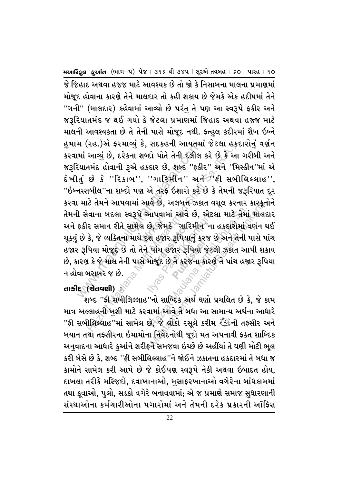મ (રહ.)અ ફરમાવ્યુ ક, સદકહની આયતમા<br>માં આવ્યું છે, દરેકના શબ્દો પોતે તેની દલીલ<br>રંચાતમંદ હોવાની રૂએ હકદાર છે, શબ્દ ''ફકીર<br>નસ્સબીલ''ના શબ્દો પણ એ તરફ ઇશારો કરે દં<br>ા માટે તેમને આપવામાં આવે છે, અલબત્ત ઝકાત<br>ો સેવાના બદલા સ્વરૂપે લ છે, જે**ગ્**<br>ો દશ હજા , જમક ''ગાાર<br>ા હજાર રૂપિયા<br>પાંચ હજાર રૂપિ<br>જૂદ છે તે કરજ રૂન વસ**ુ કર**<br>જાર રૂપિયા જે<br>તે કરજના કા રહ.)અ ફરમાવ્યુ ક, સદકહના આવતમાં જટલા હક<br>આવ્યું છે, દરેકના શબ્દો પોતે તેની દલીલ કરે છે કે અ<br>તમંદ હોવાની રૂએ હકદાર છે, શબ્દ "ફકીર" અને "ગિ<br>છે કે ''રિકાબ'', ''ગારિમીન'' અને "ફી સબી<br>તબીલ"ના શબ્દો પણ એ તરફ ઇશારો કરે છે કે તેમન આપવામાં આવે છે, એટલ<br>છે, જેમકે ''ગારિમીન''ના<br>પ્રા હજાર રૂપિયાનું કરજ શ<br>મોજૂદ છે તે કરજના કારણ<br>મોજૂદ છે તે કરજના કારણ<br>સ નાપવામાં આવે છે, એટલા માટે તેમાં<br>ગ્રે, જેમકે ''ગારિમીન''ના હકદારોમાં<br>શ હજાર રૂપિયાનું કરજ છે અને તેની<br>પાંચ હજાર રૂપિયા જેટલી ઝકાત આ<br>પાંચ હજાર રૂપિયા જેટલી ઝકાત આ<br>''નો શાબ્દિક અર્થ ઘણો પ્રચલિત છે કે<br>ગ્રે, જે લોકો રસૂલે કરી લ છે, અલબત્ત ઝકાત વસૂલ કરનાર કારકૂન<br>માપવામાં આવે છે, એટલા માટે તેમાં માલદ<br>શે હજાર રૂપિયાનું કરજ છે અને તેની પાસે પ<br>પાંચ હજાર રૂપિયા જેટલી ઝકાત આપી શક<br>મેજૂદ છેતે કરજના કારણે તે પાંચ હજાર રૂપિ<br>'નો શાબ્દિક અર્થ ઘણો પ્રચલિત છ જે જિહાદ અથવા હજ્જ માટે આવશ્યક છે તો જો કે નિસાબના માલના પ્રમાણમાં મોજૂદ હોવાના કારણે તેને માલદાર તો કહી શકાય છે જેમકે એક હદીષમાં તેને ''ગની'' (માલદાર) કહેવામાં આવ્યો છે પરંત તે પણ આ સ્વરૂપે ફકીર અને જરૂરિયાતમંદ જ થઈ ગયો કે જેટલા પ્રમાણમાં જિહાદ અથવા હજ્જ માટે માલની આવશ્યકતા છે તે તેની પાસે મોજૂદ નથી. ફ્ત્હુલ કદીરમાં શૈખ ઇબ્ને હુમામ (રહ.)એ ફરમાવ્યું કે, સદકહની આયતમાં જેટલા હકદારોનું વર્ણન કરવામાં આવ્યું છે, દરેકના શબ્દો પોતે તેની દલીલ કરે છે કે આ ગરીબી અને જરૂરિયાતમંદ હોવાની રૂએ હકદાર છે, શબ્દ "ફકીર" અને "મિસ્કીન"માં એ દેખીતું છે કે ''રિકાબ'', ''ગારિમીન'' અર્ત્તેર્ટી'ફી સબીલિલ્લાહ'', "ઇબ્નસ્સબીલ"ના શબ્દો પણ એ તરફ ઇશારો કરે છે કે તેમની જરૂરિયાત દૂર કરવા માટે તેમને આપવામાં આવે છે, અલબત્ત ઝકાત વસૂલ કરનાર કારકૂનોને તેમની સેવાના બદલા સ્વરૂપે આપવામાં આવે છે, એટલા માટે તેમાં માલદાર અને ફકીર સમાન રીતે સામેલ છે, જેમકે ''ગારિમીન''ના હકદારોમાં વર્ણન થઈ ચૂક્યું છે કે, જે વ્યક્તિના માથે દશ હજાર રૂપિયાનું કરજ છે અને તેની પાસે પાંચ હજાર રૂપિયા મોજૂદ છે તો તેને પાંચ હજાર રૂપિયા જેટલી ઝકાત આપી શકાય છે, કારણ કે જે માલ તેની પાસે મોજૂદ છે તે કરજના કારણે તે પાંચ હજાર રૂપિયા ન હોવા બરાબર જ છે.

# $\epsilon$  (Represented)

શબ્દ ''ફી સબીલિલ્લાહ''નો શાબ્દિક અર્થ ઘણો પ્રચલિત છે કે, જે કામ માત્ર અલ્લાહની ખશી માટે કરવામાં આવે તે બધા આ સામાન્ય અર્થના આધારે ''ફી સબીલિલ્લાહ''માં સામેલ છે, જે લોકો રસૂલે કરીમ સ્ટેંટની તફસીર અને બયાન તથા તફસીરના ઇમામોના નિવેદનોથી જૂદો મત અપનાવી ફક્ત શાબ્દિક અનવાદના આધારે કર્આને શરીફને સમજવા ઇચ્છે છે અહીંયાં તે ઘણી મોટી ભૂલ કરી બેસે છે કે, શબ્દ ''ફી સબીલિલ્લાહ''ને જોઈને ઝકાતના હકદારમાં તે બધા જ કામોને સામેલ કરી આપે છે જે કોઈપણ સ્વરૂપે નેકી અથવા ઇબાદત હોય. દાખલા તરીકે મસ્જિદો, દવાખાનાઓ, મુસાફરખાનાઓ વગેરેના બાંધકામમાં તથા કુવાઓ, પુલો, સડકો વગેરે બનાવવામાં; એ જ પ્રમાણે સમાજ સુધારણાની સંસ્થાઓના કર્મચારીઓના પગારોમાં અને તેમની દરેક પ્રકારની ઑફિસ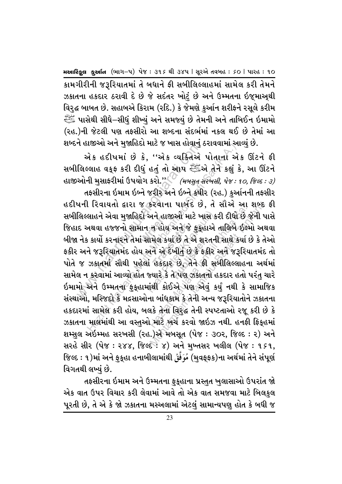કામગીરીની જરૂરિયાતમાં તે બધાને ફી સબીલિલ્લાહમાં સામેલ કરી તેમને ઝકાતના હકદાર ઠરાવી દે છે જે સદંતર ખોટું છે અને ઉમ્મતના ઇજુમાઅ્થી વિરુદ્ધ બાબત છે. સહાબએ કિરામ (રદિ.) કે જેમણે કુર્આન શરીફને રસૂલે કરીમ ્યાસેથી સીઘે–સીધું શીખ્યું અને સમજ્યું છે તેમની અને તાબિઈન ઇમામો لِلْتَّبِيَّةِ (રહ.)ની જેટલી પણ તફસીરો આ શબ્દના સંદર્ભમાં નકલ થઈ છે તેમાં આ શબ્દને હાજીઓ અને મુજાહિદો માટે જ ખાસ હોવાનું ઠરાવવામાં આવ્યું છે.

એક હદીષમાં છે કે, "એક વ્યક્તિએ પોતાના એક ઊંટને ફી સબીલિલ્લાહ વક્ફ કરી દીધું હતું તો આપ સ્ટ્રેંજને તેને કહ્યું કે, આ ઊંટને હાજીઓની મુસાફરીમાં ઉપયોગ કરો."<sup>6</sup> *(મબસુત-સરખસી, ૫ેજ : ૧૦, જિલ્દ : ૩)* તફસીરના ઇમામ ઇબ્ને જરીર અને ઇબ્ને કષીર (રહ.) કર્આનની તફસીર હદીષની રિવાયતો દ્વારા જ કરવાના પાબંદ છે, તે સૌએ આ શબ્દ ફી સબીલિલ્લાહને એવા મુજાહિદો અને હાજીઓ માટે ખાસ કરી દીધો છે જેની પાસે જિહાદ અથવા હજ્જનો સામાન ન હોય અને જે ફકુહાએ તાલિબે ઈલ્મો અથવા બીજા નેક કાર્યો કરનારને તેમાં સામેલ કર્યા છે તે એ શરતની સાથે કર્યા છે કે તેઓ ફકીર અને જરૂરિયાતમંદ હોય અને એ દેખીતું છે કે ફકીર અને જરૂરિયાતમંદ તો પોતે જ ઝકાતમાં સૌથી પહેલાં હકદાર છે, તેને ફી સબીલિલ્લાહના અર્થમાં સામેલ ન કરવામાં આવ્યો હોત જ્યારે કે તે પણ ઝકાતનો હકદાર હતો પરંતુ ચારે ઇમામો અને ઉમ્મતના ફકુહામાંથી કોઈએ પણ એવં કર્યં નથી કે સામાજિક સંસ્થાઓ, મસ્જિદો કે મદ્રસાઓના બાંધકામ કે તેની અન્ય જરૂરિયાતોને ઝકાતના હકદારમાં સામેલ કરી હોય, બલકે તેના વિરુદ્ધ તેની સ્પષ્ટતાઓ રજૂ કરી છે કે ઝકાતના માલમાંથી આ વસ્તુઓ માટે ખર્ચ કરવો જાઇઝ નથી. હનફી ફિક્હમાં શમ્સુલ અઇમ્મહ સરખસી (રહ.)એ મબસૂત (પેજ : ૩૦૨, જિલ્દ : ૨) અને સરહે સીર (પેજઃ ૨૪૪, જિલ્દઃ ૪) અને મુખ્તસર ખલીલ (પેજઃ ૧૬૧, જિલ્દ : ૧)માં અને ફૂકુહા હનાબીલામાંથી مُوَفَّقُ (મુવફ્ફ્ક)ના અર્થમાં તેને સંપૂર્ણ વિગતથી લખ્યં છે.

તફસીરના ઇમામ અને ઉમ્મતના ફુકુહાના પ્રસ્તુત ખુલાસાઓ ઉપરાંત જો એક વાત ઉપર વિચાર કરી લેવામાં આવે તો એક વાત સમજવા માટે બિલકુલ પૂરતી છે, તે એ કે જો ઝકાતના મસ્અલામાં એટલં સામાન્યપણ હોત કે બધી જ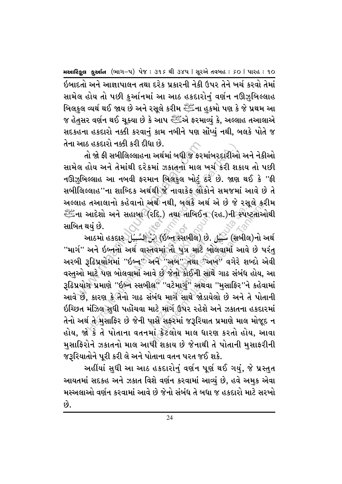ઈબાદતો અને આજ્ઞાપાલન તથા દરેક પ્રકારની નેકી ઉપર તેને ખર્ચ કરવો તેમાં સામેલ હોય તો પછી કર્આનમાં આ આઠ હકદારોનં વર્ણન નઊઝબિલ્લાહ બિલકલ વ્યર્થ થઈ જાય છે અને રસૂલે કરીમ ﷺના હકમો પણ કે જે પ્રથમ આ જ હેતુસર વર્ણન થઈ ચૂક્યા છે કે આપ ﷺએ ફરમાવ્યું કે, અલ્લાહ તઆલાએ સદકહના હકદારો નક્કી કરવાનું કામ નબીને પણ સોંપ્યું નથી, બલકે પોતે જ તેના આઠ હકદારો નક્કી કરી દીધા છે.

આઠ હકદારા નક્કા કરા દાઘા છ.<br>તો જો કી સબીલિલ્લાહના અર્થમાં બધી જ કરમ<br>લ હોય અને તેમાંથી દરેકમાં ઝકાતનો માલ<br>ગુબિલ્લાહ આ નબવી ફરમાન બિલકુલ ખોટું દ<br>સિલ્લાહ 'ના શાબ્દિક અર્થથી જે નાવાકેફ લોક<br>માહ તઆલાનો કહેવાનો અર્થ નથી, બલકે **Writer** VF9DM CSNFZ nûØ f \$ ]ôeûàö]ÖŠ s>aG :;AL,f K[P ‰øf nûØ s;AL,fGM VY" તો જો કી સબીલિલ્લાહના અર્થમાં બધી જ કરમાંબરદારીઓ અને નેકીઓ સામેલ હોય અને તેમાંથી દરેકમાં ઝકાતનો માલ ખર્ચ કરી શકાય તો પછી નઊઝબિલ્લાહ આ નબવી ફરમાન બિલકલ ખોટું ઠરે છે. જાણ થઈ કે ''ફી સબીલિલ્લાહ''ના શાબ્દિક અર્થથી જે નાવાકેફ લોકોને સમજમાં આવે છે તે અલ્લાહ તઆલાનો કહેવાનો અર્થ નથી, બલકે અર્થ એ છે જે રસુલે કરીમ سَيِّ -إِلَيْسَ -إِلَيْسَ -إِلَيْسَ -إِلَيْسَ -إِلَيْسَ -إِلَيْسَ -إِلاَّ عِلَيْسَ -إِلَيْسَ -إِلاَّ عِلَيْسَ સાબિત થયં છે.

.<br>.<br>વિમાં તો પુત્ર<br>નવે ''અબ'' ત મસ્સમાર/ છ<br>ો પુત્ર માટે <sup>,</sup><br>મળે કોઈની સ મિક્સ નક્કા કરા દાધા છ.<br>મિક્ષ કરી સબીલિલ્લાહના અર્થમાં બધી જ કરમાંબરદારીઅ<br>કોય અને તેમાંથી દરેકમાં ઝકાતના માલ ખર્ચ કરી શ<br>સ્લાહ આ નબવી કરમાન બિલકુલ ખોટું દરે છે. જાણ<br>સાહ આ નબવી કરમાન બિલકુલ ખોટું દરે છે. જાણ<br>નઆદેશો અને સહાબ (રદિ.) તથા તાબિઈન (રહ.)ની કપા<br>માં (ઈબ્ન સ્સબીલ) છે. ડુંડું (સબીલ<br>સ્તવમાં તો પુત્ર માટે બોલવામાં આવે<br>અને ''અબ'' તથા ''અખ'' વગેરે શ<br>માવે છે જેનો કોઈની સાથે ગાઢ સંબંધ<br>સંબંધ માર્ગ સાથે જોડાયેલો છે અને ત<br>માટે માર્ગ સાથે જોડાયે બથે નથા, બલક એથ અ છ જ રસૂલ કર<br>રદિ.) તથા તાબિઈન (રહ.)ની સ્પષ્ટતાઓ<br>તેવમાં તો પુત્ર માટે બોલવામાં આવે છે પાસ્તવમાં તો પુત્ર માટે બોલવામાં આવે છે પાસ્ત<br>અને ''અબ'' તથા ''અખ'' વગેરે શબ્દો એ<br>પ્લે ''અબ'' તથા ''અખ'' વગેરે શબ્દો એ<br> ô ô "માર્ગ" અને ઇબ્<del>ન</del>નો અર્થ વાસ્તવમાં તો પુત્ર માટે બોલવામાં આવે છે પરંતુ અરબી રૂઢિપ્રયોગમાં ''ઇબ્ન્' અને ''અબ'' તથા*ં*'અખ<sup>્</sup>' વગેરે શબ્દો એવી વસ્તુઓ માટે પણ બોલવામાં આવે છે જેનો કોઈની સાથે ગાઢ સંબંધ હોય, આ  $\,$ રૂઢિપ્રયોગ પ્રમાણે ''ઇબ્ને સ્સબીલ'' ''વટેમાર્ગુ'' અથવા ''મુસાફિર''ને કહેવામાં આવે છે. કારણ કે તેનો ગાઢ સંબંધ માર્ગ સાથે જોડાયેલો છે અને તે પોતાની ઇચ્છિત મંઝિલ સધી પહોંચવા માટે માર્ગ ઉપર રહેશે અને ઝકાતના હકદારમાં તેનો અર્થ તે મસાફિર છે જેની પાસે સફરમાં જરૂરિયાત પ્રમાણે માલ મોજૂદ ન હોય, જો કે તે પોતાના વતનમાં કેટલોય માલ ધારણ કરતો હોય, આવા મુસાફિરોને ઝકાતનો માલ આપી શકાય છે જેનાથી તે પોતાની મુસાફરીની જરૂરિયાતોને પૂરી કરી લે અને પોતાના વતન પરત જઈ શકે.

અહીંયાં સુધી આ આઠ હકદારોનું વર્ણન પૂર્ણ થઈ ગયું, જે પ્રસ્તુત આયતમાં સદકહ અને ઝકાત વિશે વર્ણન કરવામાં આવ્યં છે, હવે અમક એવા મસ્અલાઓ વર્ણન કરવામાં આવે છે જેનો સંબંધ તે બધા જ હકદારો માટે સરખો  $\hat{\omega}$ .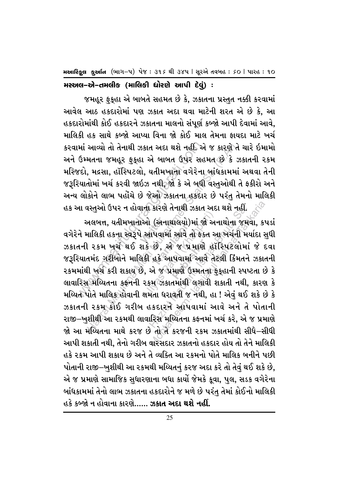Hollage suio (ભાગ-૫) પેજ: ૩૧૬ થી ૩૪૫ | સૂરએ તવબહ: so | પારહ: ૧૦

મસ્અલ-એ-તમલીક (માલિકી ધોરણે આપી દેવું) :

જમહૂર ફુકુહા એ બાબતે સહમત છે કે, ઝકાતના પ્રસ્તુત નક્કી કરવામાં આવેલ આઠ હકદારોમાં પણ ઝકાત અદા થવા માટેની શરત એ છે કે, આ હકદારોમાંથી કોઈ હકદારને ઝકાતના માલનો સંપૂર્ણ કબ્જો આપી દેવામાં આવે, માલિકી હક સાથે કબ્જો આપ્યા વિના જો કોઈ માલ તેમના કાયદા માટે ખર્ચ કરવામાં આવ્યો તો તેનાથી ઝકાત અદા થશે નહીં. એ જ કારણે તે ચારે ઇમામો અને ઉમ્મતના જમહૂર ફકુહા એ બાબત ઉપર સહમત છે કે ઝકાતની રકમ મસ્જિદો, મદ્રસા, હૉસ્પિટલો, યતીમખાના વગેરેના બાંધકામમાં અથવા તેની જરૂરિયાતોમાં ખર્ચ કરવી જાઇઝ નથી, જો કે એ બધી વસ્તુઓથી તે ફકીરો અને અન્ય લોકોને લાભ પહોંચે છે જેઓ ઝકાતના હકદાર છે પરંતુ તેમનો માલિકી હક આ વસ્તુઓ ઉપર ન હોવાના કારણે તેનાથી ઝકાત અદા થશે નહીં.

અલબત્ત, યતીમખાનાઓ (અનાથાલયો)માં જો અનાથોના જમવા, કપડાં

વગેરેને માલિકી હકના સ્વરૂપે આપવામાં આવે તો ફક્ત આ ખર્ચની મર્યાદા સધી ઝકાતની રકમ ખર્ચ થઈ શકે છે, એ જ પ્રમાણે હૉસ્પિટલોમાં જે દવા જરૂરિયાતમંદ ગરીબોને માલિકી હકે આપવામાં આવે તેટલી કિંમતને ઝકાતની રકમમાંથી ખર્ચ કરી શકાય છે, એ જ પ્રમાણે ઉમ્મતના ફૂકુહાની સ્પષ્ટતા છે કે લાવારિસ મય્યિતના કફનની રકમ ઝકાતમાંથી લગાવી શકાતી નથી, કારણ કે મય્યિત પોતે માલિક હોવાની ક્ષમતા ધરાવતી જ નથી, હા ! એવું થઈ શકે છે કે ઝકાતની રકમ કોઈ ગરીબ હકદારને આપવામાં આવે અને તે પોતાની રાજી–ખુશીથી આ રકમથી લાવારિસ મુચ્યિતના કફનમાં ખર્ચ કરે, એ જ પ્રમાણે જો આ મય્યિતના માથે કરજ છે તો તે કરજની રકમ ઝકાતમાંથી સીધે–સીધી આપી શકાતી નથી. તેનો ગરીબ વારસદાર ઝકાતનો હકદાર હોય તો તેને માલિકી હકે ૨કમ આપી શકાય છે અને તે વ્યક્તિ આ ૨કમનો પોતે માલિક બનીને પછી પોતાની રાજી–ખશીથી આ રકમથી મય્યિતનં કરજ અદા કરે તો તેવં થઈ શકે છે. એ જ પ્રમાણે સામાજિક સધારણાના બધા કાર્યો જેમકે કવા, પલ, સડક વગેરેના બાંધકામમાં તેનો લાભ ઝકાતના હકદારોને જ મળે છે પરંત તેમાં કોઈનો માલિકી હકે કબ્જો ન હોવાના કારણે…… ઝકાત અદા થશે નહીં.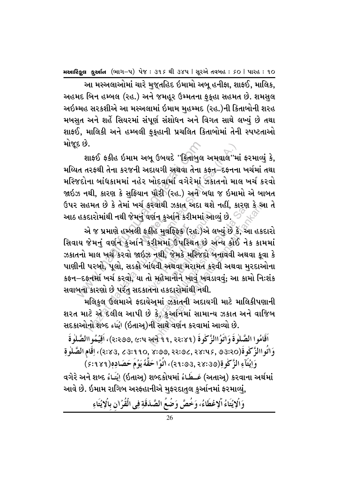આ મસ્અલાઓમાં ચારે મજુતહિદ ઇમામો અબુ હનીફા, શાફઈ, માલિક, અહમદ બિન હમ્બલ (રહ.) અને જમહર ઉમ્મતના ફકહા સહમત છે. શમસલ અઇમ્મહ સરકશીએ આ મસ્અલામાં ઇમામ મહમ્મદ (રહ.)ની કિતાબોની શરહ મબસત અને શહેં સિયરમાં સંપૂર્ણ સંશોધન અને વિગત સાથે લખ્યં છે તથા શાકઈ. માલિકી અને હમ્બલી ફકહાની પ્રચલિત કિતાબોમાં તેની સ્પષ્ટતાઓ મોજૂદ છે.

શાકઈ ફકીહ ઇમામ અબૂ ઉબયદે "કિતાબુલ અમવાલ"માં ફરમાવ્યું કે, મય્યિત તરફથી તેના કરજની અદાયગી અથવા તેના કફન–દફનના ખર્ચમાં તથા મસ્જિદોના બાંધકામમાં નહેર ખોદવામાં વગેરેમાં ઝેકાતનો માલ ખર્ચ કરવો જાઇઝ નથી, કારણ કે સફિયાન પૌરી (રહ.) અને બધા જ ઇમામો એ બાબત ઉપર સહમત છે કે તેમાં ખર્ચ કરવાથી ઝકાત અદા થશે નહીં, કારુણ કે આ તે

દ છ.<br>શાકઈ કકીહ ઇમામ અબૂ ઉબયદે ''કિતાબુલ<br>ાત તરફથી તેના કરજની અદાયગી અથવા તેના ક<br>જદોના બાંઘકામમાં નહેર ખોદવામાં વગેરેમાં :<br>ઝ નથી, કારણ કે સુફિયાન પૌરી (રહ.) અને બ<br>હકદારોમાંથી નથી જેમનું વર્ણન કુર્આને કરીમમાં<br>હકદારોમાંથી નથી પુ પ**જ્ઞ**ા કુ<br>l ફકીહ મુ<br>ને *ક*રીમમ એ જ પ્રમાણે હમ્બલી ફકીહ મુવફ્ફિક (રહ.)એ લખ્યું છે કે, આ હકદારો<br>જેમનું વર્ણન કુઅનિ કરીમમાં ઉપસ્થિત છે અન્ય કોઈ નેક કામમાં<br>ાગબો પછો સહ્હો બાંધતી સુશતા મરામન કરતી સુશતા મરદાઓના ઉપસ્થિત છે<br>૪ેમકે મસ્જિદો<br>થવા મરામત<br>નોને ખાવ ખ .<br>પાકઈ ફકીહ ઇમામ અબૂ ઉબયદે "કિતાબુલ અમવાલ"મ<br>નરફથી તેના કરજની અદાયગી અથવા તેના કફ્ત–દફ્તન<br>ના બાંધકામમાં નહેર ખોદવામાં વગેરેમાં ઝકાતનો મા<br>શી, કારણ કે સુફિયાન પૌરી (રહ.) અને બધા જ ઇમા<br>ડારોમાંથી નથી જેમનું વર્ણન કુર્આર્ને કરી આઠ હકદારોમાંથી નથી જેમનું વર્ણન કુઅનિ કરીમમાં આવ્યું છે.<br>એ જ પ્રમાણે હમ્બલી ફકીહ મુવર્ફિફેક (રહ.)એ લખ્યું છે<br>સિવાય જેમનું વર્ણન કુઅનિ કરીમમાં ઉપસ્થિત છે અન્ય ક્રં<br>ઝકાતનો માલ ખર્ચ કરવો જાઇઝ નથી, જેમકે મસ્જિદો બનાવર્વ<br>ધાણીન ે હવે કરવાનું કરવામાં આવ્યું છે.<br>પર્શન કુર્આને કરીમમાં આવ્યું છે.<br>કરીમમાં ઉપસ્થિત છે અન્ય કોઈ ને<br>કરીમમાં ઉપસ્થિત છે અન્ય કોઈ ને<br>હવી અથવા મરામત કરવી અથવા મુ<br>તેના હકદારોમાંથી નથી.<br>એમાં ઝકાતની અદાયગી માટે માલિ<br>ગે કે, કુર્આનમ રવાથી ઝકાત અદા થશે નહીં, કારણ કે આ<br>ર્ણન કુઅનિ કરીમમાં આવ્યું છે.<br>બીંન કુઅનિ કરીમમાં આવ્યું છે કે, આ હકદ<br>રીમમાં ઉપસ્થિત છે અન્ય ક્રોઈ નેક કામ<br>રનથી, જેમકે મસ્જિદો બનાવવી અથવા કૂવા<br>ાંવવી અથવા મરામત કરવી અથવા મુરદાઓ<br>ો મહેમાનો સિવાય જેમનું વર્ણન કુર્આને કરીમમાં ઉપસ્થિત છે અન્ય કોઈ નેક કામમાં ઝકાતનો માલ ખર્ચ કરવો જાઇઝ નથી, જેમકે મસ્જિદો બનાવવી અથવા કુવા કે પાણીની પરબો, પૂલો, સડકો બાંધવી અથવા મરામત કરવી અથવા મુરદાઓના કફન–દફનમાં ખર્ચ કરવો, યા તો મહેમાનોને ખાવું ખવડાવવું; આ કામો નિઃશંક સવાબના કારણો છે પરંત સદકાતના હકદારોમાંથી નથી.

મલિકુલ ઉલમાએ ફદાયેઅુમાં ઝકાતની અદાયગી માટે માલિકીપણાની શરત માટે એ દલીલ આપી છે કે, કઆંનમાં સામાન્ય ઝકાત અને વાજિબ સદકાઓનો શબ્દ يٰتَاء (ઇતાઅ્)ની સાથે વર્ણન કરવામાં આવ્યો છે. ø

اَقَامُوا الصَّلٰوفَة وَاتَوُاالزَّكْوةَ (2:239, 4: अर्से ११, 22:४१)، اَقِيُمُواالصَّلٰوةَ) F ø F وَاتُواالزَّكْوِةَ(3:3, deles, 23:90, 22:96, 28:45, 93:20)، اِقَامِ الصَّلْوِةِ ø F F رِّ رَبُتَآءِ الزَّكْوةِ(38:39, 39:93)، اتُوُا حَقَّهٗ يَوُمَ حَصَادِهٖ(98.1 \$)َ ۖ

વગેરે અને શબ્દ ડ્રંنيَاءُ (ઇતાઅ્) શબ્દકોષમાં ડ્રં $\Delta$ فَـــطَـاءُ (અતાઅ્) કરવાના અર્થમાં ø ø આવે છે. ઇમામ રાગિબ અસ્કહાનીએ મુફરદાતુલ કુર્આનમાં ફરમાવ્યું,

> وَالْإِيْتَاءُ الْإِعْطَاءُ، وَخُصَّ وَضُعُ الصَّدَقَةِ فِي الْقُرْانِ بِالْإِيْتَاءِ ö ø ô ø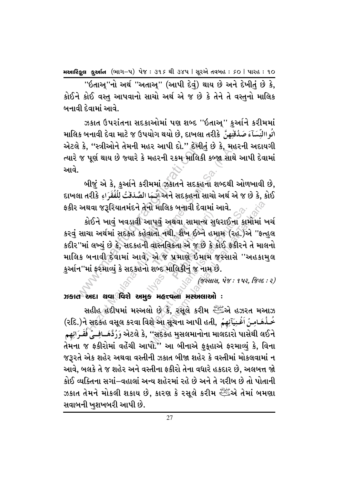"ઇતાઅ્"નો અર્થ "અતાઅ્" (આપી દેવું) થાય છે અને દેખી<u>ત</u>ું છે કે, કોઈને કોઈ વસ્<u>ત</u> આપવાનો સાચો અર્થ એ જ છે કે તેને તે વસ્તુનો માલિક બનાવી દેવામાં આવે.

ઝકાત ઉપરાંતના સદકાઓમાં પણ શબ્દ ''ઇતાઅુ'' કુર્આને કરીમમાં માલિક બનાવી દેવા માટે જ ઉપયોગ થયો છે, દાખલા તરીકે نُو االنِّسَآءَ صَدُقْتٰهِنَّ ફ એટલે કે, ''સ્ત્રીઓને તેમની મહર આપી દો.'' દેખીતું છે કે, મહુરની અદાયગી ત્યારે જ પૂર્ણ થાય છે જ્યારે કે મહરની રકમ માલિકી કબ્જા સાથે આપી દેવામાં <u>આવે.</u>

બીજું એ કે, કુર્આને કરીમમાં ઝકાતને સદકહના શબ્દથી ઓળખાવી છે, કાખલા તરીકે وَلَا કોઈ અને સદકહનો સાચો અર્થ એ જ છે કે, કોઈ ફકીર અથવા જરૂરિયાતમંદને તેનો માલિક બનાવી દેવામાં આવે.

કોઈને ખાવું ખવડાવી આપવું અથવા સામાન્ય સુધરાઈના કામોમાં ખર્ચ કરવું સાચા અર્થમાં સદકહ કહેવાતો નથી. શૈખ ઈબ્ને હમામ (રહ.)એ ''ફ્ત્હુલ કદીર''માં લખ્યં છે કે. સદકહની વાસ્તવિકતા એ જ છે કે કોઈ ફકીરને તે માલનો માલિક બનાવી દેવામાં આવે, એ જ પ્રમાણે ઇમામ જસ્સાસે ''અહકામલ કુર્આન''માં ફરમાવ્યું કે સદકહનો શબ્દ માલિકીનું જ નામ છે.

 $($ જસ્સાસ, પેજ: ૧૫૨, જિલ્દ: ૨)

ઝકાત અદા થવા વિશે અમુક મહત્ત્વના મસ્ખલાઓ :

સહીહ હેદીષમાં મસ્અલો છે કે, રૂસૂલે કરીમ સ્ટેટિંગે હઝરત મઆઝ (રદિ.)ને સદકહ વસૂલ કરવા વિશે આ સૂચના આપી હતી, رَجْدَ مَاصِنُ اَغُنِيَآئِهِمْ અેટલે કે, ''સદકહ મુસલમાનોના માલદારો પાસેથી લઈને وَرُدَّهَــافِــِيُ فُقَـرَائِهِـم તેમના જ ફકીરોમાં વહેંચી આપો." આ બીનાએ ફૂકુહાએ ફરમાવ્યું કે, વિના જરૂરતે એક શહેર અથવા વસ્તીની ઝકાત બીજા શહેર કે વસ્તીમાં મોકલવામાં ન આવે, બલકે તે જ શહેર અને વસ્તીના ફકીરો તેના વધારે હકદાર છે, અલબત્ત જો કોઈ વ્યક્તિના સગાં–વહાલાં અન્ય શહેરમાં રહે છે અને તે ગરીબ છે તો પોતાની ઝકાત તેમને મોકલી શકાય છે, કારણ કે રસૂલે કરીમ સ્ટ્રેંચ્ચે તેમાં બમણા સવાબની ખશખબરી આપી છે.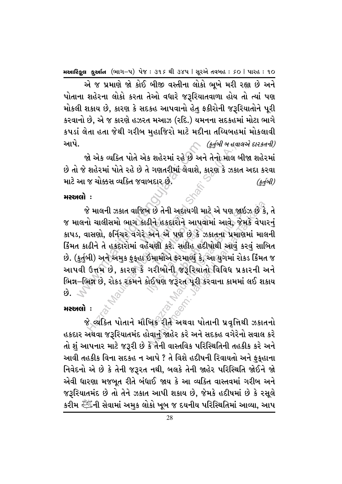એ જ પ્રમાણે જો કોઈ બીજી વસ્તીના લોકો ભૂખે મરી રહ્યા છે અને પોતાના શહેરના લોકો કરતા તેઓ વધારે જરૂરિયાતવાળા હોય તો ત્યાં પણ મોકલી શકાય છે, કારણ કે સદકહ આપવાનો હેત ફકીરોની જરૂરિયાતોને પૂરી કરવાનો છે, એ જ કારણે હઝરત મઆઝ (રદિ.) યમનના સદકહમાં મોટા ભાગે કપડાં લેતા હતા જેથી ગરીબ મહાજિરો માટે મદીના તચ્યિબહમાં મોકલાવી આપે. (કર્તબી બ હવાલએ દારકતની)

જો એક વ્યક્તિ પોતે એક શહેરમાં રહે છે અને તેનો માલ બીજા શહેરમાં છે તો જે શહેરમાં પોતે રહે છે તે ગણતરીમાં લેવાશે, કારણ કે ઝકાત અદા કરવા માટે આ જ ચોક્કસ વ્યક્તિ જવાબદાર છે.  $(sd0l)$ 

#### $\mu$ жн $\alpha$ і:

જે માલની ઝકાત વાજિબ છે તેની અદાયગી માટે એ પણ જાઇઝ છે કે, તે જ માલનો ચાલીસમો ભાગ કાઢીને હકદારોને આપવામાં આવે, જેમકે વેપારનું કાપડ, વાસણો, ફર્નિચર વગેરે અને એ પણ છે કે ઝકાતના પ્રમાણમાં માલની કિંમત કાઢીને તે હકદારોમાં વહેંચણી કરે. સહીહ હદીષોથી આવું કરવું સાબિત છે. (કુર્તુબી) અને અમુક ફુકુહા ઈમામોએ ફરમાવ્યું કે, આ યુગમાં રોકડ કિંમત જ આપવી ઉત્તમ છે, કારણ કે ગરીબોની જરૂરિયાતો વિવિધ પ્રકારની અને ભિન્ન–ભિન્ન છે, રોકડ રકમને કોઈપણ જરૂરત પૂરી કરવાના કામમાં લઈ શકાય  $6.7$ 

## મસ્સતો :

જે લ્યક્તિ પોતાને મૌખિક રીતે અથવા પોતાની પ્રવૃત્તિથી ઝકાતનો હકદાર અથવા જરૂરિયાતમંદ હોવાનું જાહેર કરે અને સદકહ વગેરેનો સવાલ કરે તો શું આપનાર માટે જરૂરી છે કે તેની વાસ્તવિક પરિસ્થિતિની તહકીક કરે અને આવી તહકીક વિના સદકહ ન આપે ? તે વિશે હદીષની રિવાયતો અને ફકુહાના નિવેદનો એ છે કે તેની જરૂરત નથી, બલકે તેની જાહેર પરિસ્થિતિ જોઈને જો એવી ધારણા મજબૂત રીતે બંધાઈ જાય કે આ વ્યક્તિ વાસ્તવમાં ગરીબ અને જરૂરિયાતમંદ છે તો તેને ઝકાત આપી શકાય છે, જેમકે હદીષમાં છે કે રસૂલે કરીમ ﷺની સેવામાં અમુક લોકો ખૂબ જ દયનીય પરિસ્થિતિમાં આવ્યા, આપ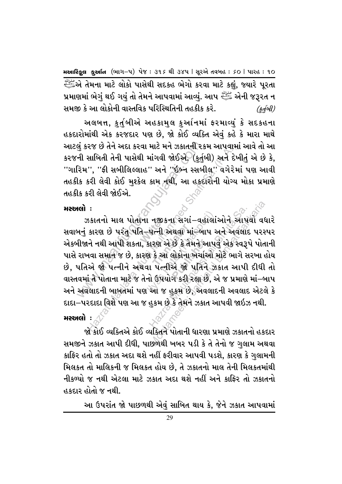تَنْتِيُّ لِلَّهَ لَهُ عَلَيْتِيًّا ﴾ [الله: 43] એ તેમના માટે લોકો પાસેથી સદકહ ભેગો કરવા માટે કહ્યું, જ્યારે પુરતા પ્રમાણમાં ભેગં થઈ ગયં તો તેમને આપવામાં આવ્યં. આપ ﷺ એની જરૂરત ન સમજી કે આ લોકોની વાસ્તવિક પરિસ્થિતિની તહકીક કરે.  $(\xi d0l)$ 

અલબત્ત, કુર્તુબીએ અહકામુલ કુર્આનમાં ફરમાવ્યું કે સદકહના હકદારોમાંથી એક કરજદાર પણ છે, જો કોઈ વ્યક્તિ એવું કહે કે મારા માથે આટલં કરજ છે તેને અદા કરવા માટે મને ઝકાતની રકમ આપવામાં આવે તો આ કરજની સાબિતી તેની પાસેથી માંગવી જોઈએ. (કુર્તુબી) અને દેખીતું એ છે કે, ''ગારિમ'', ''ફી સબીલિલ્લાહ'' અને ''ઇબ્ન સ્સબીલ' વગેરેમાં પણ આવી તહકીક કરી લેવી કોઈ મુશ્કેલ કામ નથી, આ હકદારોની યોગ્ય મોકા પ્રમાણે તહકીક કરી લેવી જોઈએ.

## મસ્સતો :

ઝકાતનો માલ પોતાના નજીકના સગાં–વહાલાંઓને આપવો વધારે સવાબનં કારણ છે પરંત પતિ–પત્ની અથવા માં–બાપ અને અવલાદ પરસ્પર એકબીજાને નથી આપી શકતા, કારણ એ છે કે તેમને આપવું એક સ્વરૂપે પોતાની પાસે રાખવા સમાન જ છે, કારણ કે આ લોકોના ખર્ચાઓ મોટે ભાગે સરખા હોય છે. પતિએ જો પત્નીને અથવા પત્નીએ જો પતિને ઝકાત આપી દીધી તો વાસ્તવમાં તે પોતાના માટે જ તેનો ઉપયોગ કરી રહ્યા છે, એ જ પ્રમાણે માં–બાપ અને અવલાદની બાબતમાં પણ આ જ હુકમ છે, અવલાદની અવલાદ એટલે કે દાદા–પરદાદા વિશે પણ આ જ હુકમ છે કે તેમને ઝકાત આપવી જાઇઝ નથી.

## મસ્અલો :

જો કોઈ વ્યક્તિએ કોઈ વ્યક્તિને પોતાની ધારણા પ્રમાણે ઝકાતનો હકદાર સમજીને ઝકાત આપી દીધી, પાછળથી ખબર પડી કે તે તેનો જ ગુલામ અથવા કાફિર હતો તો ઝકાત અદા થશે નહીં ફરીવાર આપવી પડશે, કારણ કે ગલામની મિલકત તો માલિકની જ મિલકત હોય છે, તે ઝકાતનો માલ તેની મિલકતમાંથી નીકળ્યો જ નથી એટલા માટે ઝકાત અદા થશે નહીં અને કાફ્ટિ તો ઝકાતનો હકદાર હોતો જ નથી.

આ ઉપરાંત જો પાછળથી એવું સાબિત થાય કે, જેને ઝકાત આપવામાં